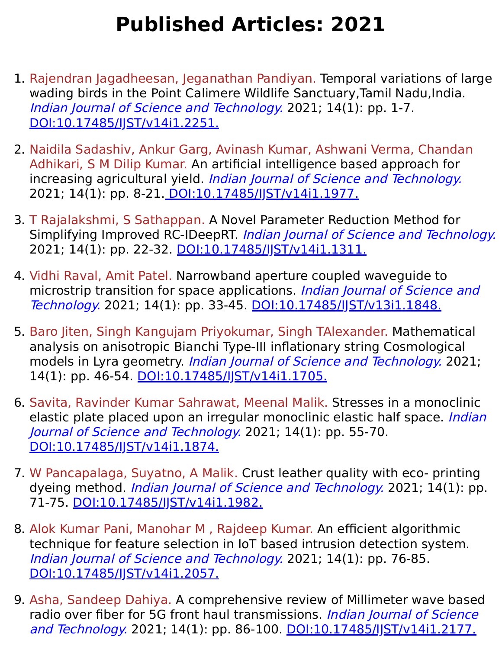## **Published Articles: 2021**

- 1. Rajendran Jagadheesan, Jeganathan Pandiyan. Temporal variations of large wading birds in the Point Calimere Wildlife Sanctuary,Tamil Nadu,India. Indian Journal of Science and Technology. 2021; 14(1): pp. 1-7. [DOI:10.17485/IJST/v14i1.2251.](https://indjst.org/articles/temporal-variations-of-large-wading-birds-in-the-point-calimere-wildlife-sanctuary-tamil-nadu-india)
- 2. Naidila Sadashiv, Ankur Garg, Avinash Kumar, Ashwani Verma, Chandan Adhikari, S M Dilip Kumar. An artificial intelligence based approach for increasing agricultural yield. Indian Journal of Science and Technology. 2021; 14(1): pp. 8-21. [DOI:10.17485/IJST/v14i1.1977.](https://indjst.org/articles/an-artificial-intelligence-based-approach-for-increasing-agricultural-yield)
- 3. T Rajalakshmi, S Sathappan. A Novel Parameter Reduction Method for Simplifying Improved RC-IDeepRT. Indian Journal of Science and Technology. 2021; 14(1): pp. 22-32. DOI:10.17485/IST/v14i1.1311.
- 4. Vidhi Raval, Amit Patel. Narrowband aperture coupled waveguide to microstrip transition for space applications. *Indian Journal of Science and* Technology. 2021; 14(1): pp. 33-45. [DOI:10.17485/IJST/v13i1.1848.](https://indjst.org/articles/narrowband-aperture-coupled-waveguide-to-microstrip-transition-for-space-applications)
- 5. Baro Jiten, Singh Kangujam Priyokumar, Singh TAlexander. Mathematical analysis on anisotropic Bianchi Type-III inflationary string Cosmological models in Lyra geometry. *Indian Journal of Science and Technology*. 2021; 14(1): pp. 46-54. DOI:10.17485/JJST/v14i1.1705.
- 6. Savita, Ravinder Kumar Sahrawat, Meenal Malik. Stresses in a monoclinic elastic plate placed upon an irregular monoclinic elastic half space. Indian Journal of Science and Technology. 2021; 14(1): pp. 55-70. [DOI:10.17485/IJST/v14i1.1874.](https://indjst.org/articles/stresses-in-a-monoclinic-elastic-plate-placed-upon-an-irregular-monoclinic-elastic-half-space)
- 7. W Pancapalaga, Suyatno, A Malik. Crust leather quality with eco- printing dyeing method. *Indian Journal of Science and Technology*. 2021; 14(1): pp. 71-75. [DOI:10.17485/IJST/v14i1.1982.](https://indjst.org/articles/crust-leather-quality-with-eco-printing-dyeing-method)
- 8. Alok Kumar Pani, Manohar M , Rajdeep Kumar. An efficient algorithmic technique for feature selection in IoT based intrusion detection system. Indian Journal of Science and Technology. 2021; 14(1): pp. 76-85. [DOI:10.17485/IJST/v14i1.2057.](https://indjst.org/articles/an-efficient-algorithmic-technique-for-feature-selection-in-iot-based-intrusion-detection-system)
- 9. Asha, Sandeep Dahiya. A comprehensive review of Millimeter wave based radio over fiber for 5G front haul transmissions. Indian Journal of Science and Technology. 2021; 14(1): pp. 86-100. [DOI:10.17485/IJST/v14i1.2177.](https://indjst.org/articles/a-comprehensive-review-of-millimeter-wave-based-radio-over-fiber-for-5g-front-haul-transmissions)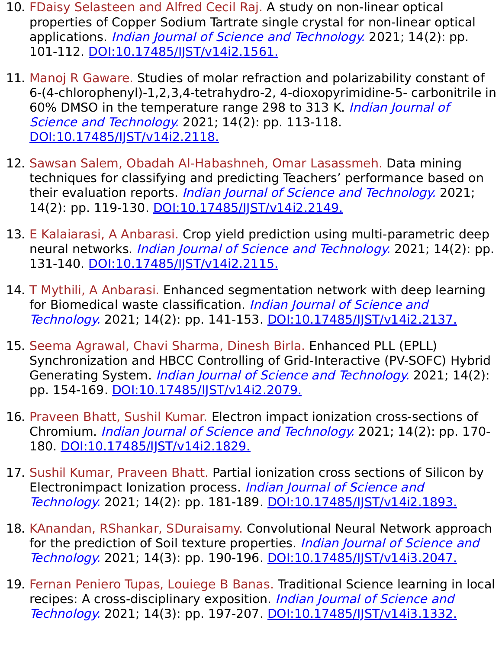- 10. FDaisy Selasteen and Alfred Cecil Raj. A study on non-linear optical properties of Copper Sodium Tartrate single crystal for non-linear optical applications. *Indian Journal of Science and Technology*. 2021; 14(2): pp. 101-112. [DOI:10.17485/IJST/v14i2.1561.](https://indjst.org/articles/a-study-on-non-linear-optical-properties-of-copper-sodium-tartrate-single-crystal-for-non-linear-optical-applications)
- 11. Manoj R Gaware. Studies of molar refraction and polarizability constant of 6-(4-chlorophenyl)-1,2,3,4-tetrahydro-2, 4-dioxopyrimidine-5- carbonitrile in 60% DMSO in the temperature range 298 to 313 K. Indian Journal of Science and Technology. 2021; 14(2): pp. 113-118. [DOI:10.17485/IJST/v14i2.2118.](https://indjst.org/articles/studies-of-molar-refraction-and-polarizability-constant-of-6-4-chlorophenyl-1234-tetrahydro-2-4-dioxopyrimidine-5-carbonitrile-in-60-dmso-in-the-temperature-range-298-to-313-k)
- 12. Sawsan Salem, Obadah Al-Habashneh, Omar Lasassmeh. Data mining techniques for classifying and predicting Teachers' performance based on their evaluation reports. *Indian Journal of Science and Technology*. 2021; 14(2): pp. 119-130. DOI:10.17485/IST/v14i2.2149.
- 13. E Kalaiarasi, A Anbarasi. Crop yield prediction using multi-parametric deep neural networks. *Indian Journal of Science and Technology*. 2021; 14(2): pp. 131-140. [DOI:10.17485/IJST/v14i2.2115.](https://indjst.org/articles/crop-yield-prediction-using-multi-parametric-deep-neural-networks)
- 14. T Mythili, A Anbarasi. Enhanced segmentation network with deep learning for Biomedical waste classification. Indian Journal of Science and Technology. 2021; 14(2): pp. 141-153. [DOI:10.17485/IJST/v14i2.2137.](https://indjst.org/articles/enhanced-segmentation-network-with-deep-learning-for-biomedical-waste-classification)
- 15. Seema Agrawal, Chavi Sharma, Dinesh Birla. Enhanced PLL (EPLL) Synchronization and HBCC Controlling of Grid-Interactive (PV-SOFC) Hybrid Generating System. *Indian Journal of Science and Technology*. 2021; 14(2): pp. 154-169. DOI:10.17485/JST/v14i2.2079.
- 16. Praveen Bhatt, Sushil Kumar. Electron impact ionization cross-sections of Chromium. Indian Journal of Science and Technology. 2021; 14(2): pp. 170- 180. [DOI:10.17485/IJST/v14i2.1829.](https://indjst.org/articles/electron-impact-ionization-cross-sections-of-chromium)
- 17. Sushil Kumar, Praveen Bhatt. Partial ionization cross sections of Silicon by Electronimpact Ionization process. Indian Journal of Science and Technology. 2021; 14(2): pp. 181-189. DOI:10.17485/JJST/v14i2.1893.
- 18. KAnandan, RShankar, SDuraisamy. Convolutional Neural Network approach for the prediction of Soil texture properties. Indian Journal of Science and Technology. 2021; 14(3): pp. 190-196. [DOI:10.17485/IJST/v14i3.2047.](https://indjst.org/articles/convolutional-neural-network-approach-for-the-prediction-of-soil-texture-properties)
- 19. Fernan Peniero Tupas, Louiege B Banas. Traditional Science learning in local recipes: A cross-disciplinary exposition. Indian Journal of Science and Technology. 2021; 14(3): pp. 197-207. [DOI:10.17485/IJST/v14i3.1332.](https://indjst.org/articles/traditional-science-learning-in-local-recipes-a-cross-disciplinary-exposition)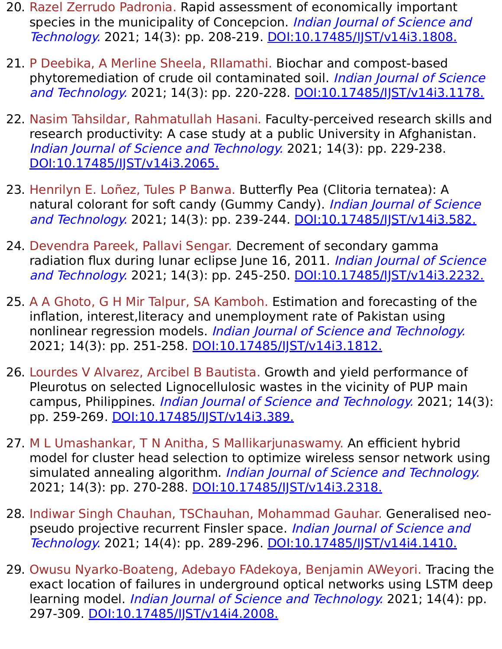- 20. Razel Zerrudo Padronia. Rapid assessment of economically important species in the municipality of Concepcion. *Indian Journal of Science and* Technology. 2021; 14(3): pp. 208-219. [DOI:10.17485/IJST/v14i3.1808.](https://indjst.org/articles/rapid-assessment-of-economically-important-species-in-the-municipality-of-concepcion)
- 21. P Deebika, A Merline Sheela, RIlamathi. Biochar and compost-based phytoremediation of crude oil contaminated soil. Indian Journal of Science and Technology. 2021; 14(3): pp. 220-228. [DOI:10.17485/IJST/v14i3.1178.](https://indjst.org/articles/biochar-and-compost-based-phytoremediation-of-crude-oil-contaminated-soil)
- 22. Nasim Tahsildar, Rahmatullah Hasani. Faculty-perceived research skills and research productivity: A case study at a public University in Afghanistan. Indian Journal of Science and Technology. 2021; 14(3): pp. 229-238. [DOI:10.17485/IJST/v14i3.2065.](https://indjst.org/articles/faculty-perceived-research-skills-and-research-productivity-a-case-study-at-a-public-university-in-afghanistan)
- 23. Henrilyn E. Loñez, Tules P Banwa. Butterfly Pea (Clitoria ternatea): A natural colorant for soft candy (Gummy Candy). Indian Journal of Science and Technology. 2021; 14(3): pp. 239-244. [DOI:10.17485/IJST/v14i3.582.](https://indjst.org/articles/butterfly-pea-clitoria-ternatea-a-natural-colorant-for-soft-candy-gummy-candy)
- 24. Devendra Pareek, Pallavi Sengar. Decrement of secondary gamma radiation flux during lunar eclipse June 16, 2011. Indian Journal of Science and Technology. 2021; 14(3): pp. 245-250. [DOI:10.17485/IJST/v14i3.2232.](https://indjst.org/articles/decrement-of-secondary-gamma-radiation-flux-during-lunar-eclipse-june-16-2011)
- 25. A A Ghoto, G H Mir Talpur, SA Kamboh. Estimation and forecasting of the inflation, interest,literacy and unemployment rate of Pakistan using nonlinear regression models. Indian Journal of Science and Technology. 2021; 14(3): pp. 251-258. DOI:10.17485/IST/v14i3.1812.
- 26. Lourdes V Alvarez, Arcibel B Bautista. Growth and yield performance of Pleurotus on selected Lignocellulosic wastes in the vicinity of PUP main campus, Philippines. *Indian Journal of Science and Technology*. 2021; 14(3): pp. 259-269. DOI:10.17485/JJST/v14i3.389.
- 27. M L Umashankar, T N Anitha, S Mallikarjunaswamy. An efficient hybrid model for cluster head selection to optimize wireless sensor network using simulated annealing algorithm. *Indian Journal of Science and Technology*. 2021; 14(3): pp. 270-288. [DOI:10.17485/IJST/v14i3.2318.](https://indjst.org/articles/an-efficient-hybrid-model-for-cluster-head-selection-to-optimize-wireless-sensor-network-using-simulated-annealing-algorithm)
- 28. Indiwar Singh Chauhan, TSChauhan, Mohammad Gauhar. Generalised neopseudo projective recurrent Finsler space. *Indian Journal of Science and* Technology. 2021; 14(4): pp. 289-296. [DOI:10.17485/IJST/v14i4.1410.](https://indjst.org/articles/generalised-neo-pseudo-projective-recurrent-finsler-space)
- 29. Owusu Nyarko-Boateng, Adebayo FAdekoya, Benjamin AWeyori. Tracing the exact location of failures in underground optical networks using LSTM deep learning model. *Indian Journal of Science and Technology*. 2021; 14(4): pp. 297-309. [DOI:10.17485/IJST/v14i4.2008.](https://indjst.org/articles/tracing-the-exact-location-of-failures-in-underground-optical-networks-using-lstm-deep-learning-model)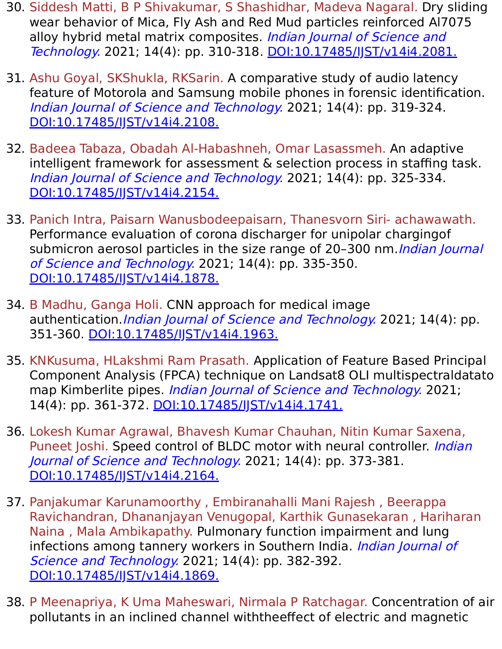- 30. Siddesh Matti, B P Shivakumar, S Shashidhar, Madeva Nagaral. Dry sliding wear behavior of Mica, Fly Ash and Red Mud particles reinforced Al7075 alloy hybrid metal matrix composites. *Indian Journal of Science and* Technology. 2021; 14(4): pp. 310-318. [DOI:10.17485/IJST/v14i4.2081.](https://indjst.org/articles/dry-sliding-wear-behavior-of-mica-fly-ash-and-red-mud-particles-reinforced-al7075-alloy-hybrid-metal-matrix-composites)
- 31. Ashu Goyal, SKShukla, RKSarin. A comparative study of audio latency feature of Motorola and Samsung mobile phones in forensic identification. Indian Journal of Science and Technology. 2021; 14(4): pp. 319-324. [DOI:10.17485/IJST/v14i4.2108.](https://indjst.org/articles/a-comparative-study-of-audio-latency-feature-of-motorola-and-samsung-mobile-phones-in-forensic-identification)
- 32. Badeea Tabaza, Obadah Al-Habashneh, Omar Lasassmeh. An adaptive intelligent framework for assessment & selection process in staffing task. Indian Journal of Science and Technology. 2021; 14(4): pp. 325-334. [DOI:10.17485/IJST/v14i4.2154.](https://indjst.org/articles/an-adaptive-intelligent-framework-for-assessment-selection-process-in-staffing-task)
- 33. Panich Intra, Paisarn Wanusbodeepaisarn, Thanesvorn Siri- achawawath. Performance evaluation of corona discharger for unipolar chargingof submicron aerosol particles in the size range of 20–300 nm. *Indian Journal* of Science and Technology. 2021; 14(4): pp. 335-350. [DOI:10.17485/IJST/v14i4.1878.](https://indjst.org/articles/performance-evaluation-of-corona-discharger-for-unipolar-chargingof-submicron-aerosol-particles-in-the-size-range-of-20300-nm)
- 34. B Madhu, Ganga Holi. CNN approach for medical image authentication. Indian Journal of Science and Technology. 2021; 14(4): pp. 351-360. [DOI:10.17485/IJST/v14i4.1963.](https://indjst.org/articles/cnn-approach-for-medical-image-authentication)
- 35. KNKusuma, HLakshmi Ram Prasath. Application of Feature Based Principal Component Analysis (FPCA) technique on Landsat8 OLI multispectraldatato map Kimberlite pipes. Indian Journal of Science and Technology. 2021; 14(4): pp. 361-372. [DOI:10.17485/IJST/v14i4.1741.](https://indjst.org/articles/application-of-feature-based-principal-component-analysis-fpca-technique-on-landsat8-oli-multispectral-data-to-map-kimberlite-pipes)
- 36. Lokesh Kumar Agrawal, Bhavesh Kumar Chauhan, Nitin Kumar Saxena, Puneet Joshi. Speed control of BLDC motor with neural controller. *Indian* Journal of Science and Technology. 2021; 14(4): pp. 373-381. [DOI:10.17485/IJST/v14i4.2164.](https://indjst.org/articles/speed-control-of-bldc-motor-with-neural-controller)
- 37. Panjakumar Karunamoorthy , Embiranahalli Mani Rajesh , Beerappa Ravichandran, Dhananjayan Venugopal, Karthik Gunasekaran , Hariharan Naina , Mala Ambikapathy. Pulmonary function impairment and lung infections among tannery workers in Southern India. *Indian Journal of* Science and Technology. 2021; 14(4): pp. 382-392. DOI:10.17485/IST/v14i4.1869.
- 38. P Meenapriya, K Uma Maheswari, Nirmala P Ratchagar. Concentration of air pollutants in an inclined channel withtheeffect of electric and magnetic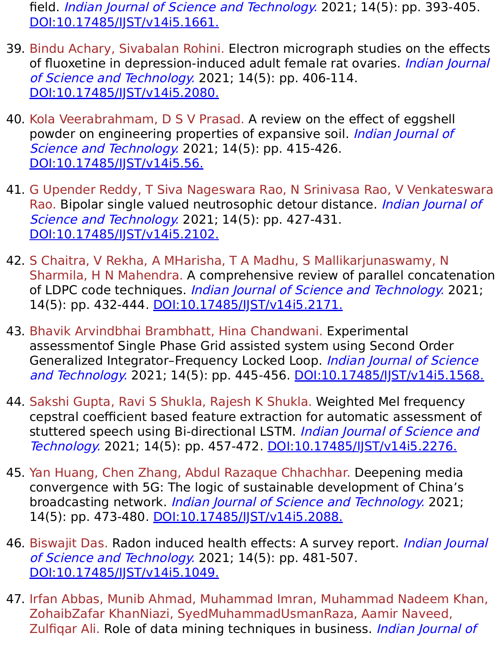field. Indian Journal of Science and Technology. 2021; 14(5): pp. 393-405. [DOI:10.17485/IJST/v14i5.1661.](https://indjst.org/articles/concentration-of-air-pollutants-in-an-inclined-channel-with-the-effect-of-electric-and-magnetic-field)

- 39. Bindu Achary, Sivabalan Rohini. Electron micrograph studies on the effects of fluoxetine in depression-induced adult female rat ovaries. *Indian Journal* of Science and Technology. 2021; 14(5): pp. 406-114. [DOI:10.17485/IJST/v14i5.2080.](https://indjst.org/articles/electron-micrograph-studies-on-the-effects-of-fluoxetine-in-depression-induced-adult-female-rat-ovaries)
- 40. Kola Veerabrahmam, D S V Prasad. A review on the effect of eggshell powder on engineering properties of expansive soil. Indian Journal of Science and Technology. 2021; 14(5): pp. 415-426. [DOI:10.17485/IJST/v14i5.56.](https://indjst.org/articles/a-review-on-the-effect-of-eggshell-powder-on-engineering-properties-of-expansive-soil)
- 41. G Upender Reddy, T Siva Nageswara Rao, N Srinivasa Rao, V Venkateswara Rao. Bipolar single valued neutrosophic detour distance. Indian Journal of Science and Technology. 2021; 14(5): pp. 427-431. [DOI:10.17485/IJST/v14i5.2102.](https://indjst.org/articles/bipolar-single-valued-neutrosophic-detour-distance)
- 42. S Chaitra, V Rekha, A MHarisha, T A Madhu, S Mallikarjunaswamy, N Sharmila, H N Mahendra. A comprehensive review of parallel concatenation of LDPC code techniques. Indian Journal of Science and Technology. 2021; 14(5): pp. 432-444. DOI:10.17485/JJST/v14i5.2171.
- 43. Bhavik Arvindbhai Brambhatt, Hina Chandwani. Experimental assessmentof Single Phase Grid assisted system using Second Order Generalized Integrator–Frequency Locked Loop. Indian Journal of Science and Technology. 2021; 14(5): pp. 445-456. [DOI:10.17485/IJST/v14i5.1568.](https://indjst.org/articles/experimental-assessment-of-single-phase-grid-assisted-system-using-second-order-generalized-integratorfrequency-locked-loop)
- 44. Sakshi Gupta, Ravi S Shukla, Rajesh K Shukla. Weighted Mel frequency cepstral coefficient based feature extraction for automatic assessment of stuttered speech using Bi-directional LSTM. Indian Journal of Science and Technology. 2021; 14(5): pp. 457-472. [DOI:10.17485/IJST/v14i5.2276.](https://indjst.org/articles/weighted-mel-frequency-cepstral-coefficient-based-feature-extraction-for-automatic-assessment-of-stuttered-speech-using-bi-directional-lstm)
- 45. Yan Huang, Chen Zhang, Abdul Razaque Chhachhar. Deepening media convergence with 5G: The logic of sustainable development of China's broadcasting network. Indian Journal of Science and Technology. 2021; 14(5): pp. 473-480. DOI:10.17485/JJST/v14i5.2088.
- 46. Biswajit Das. Radon induced health effects: A survey report. *Indian Journal* of Science and Technology. 2021; 14(5): pp. 481-507. [DOI:10.17485/IJST/v14i5.1049.](https://indjst.org/articles/radon-induced-health-effects-a-survey-report)
- 47. Irfan Abbas, Munib Ahmad, Muhammad Imran, Muhammad Nadeem Khan, ZohaibZafar KhanNiazi, SyedMuhammadUsmanRaza, Aamir Naveed, Zulfigar Ali. Role of data mining techniques in business. Indian Journal of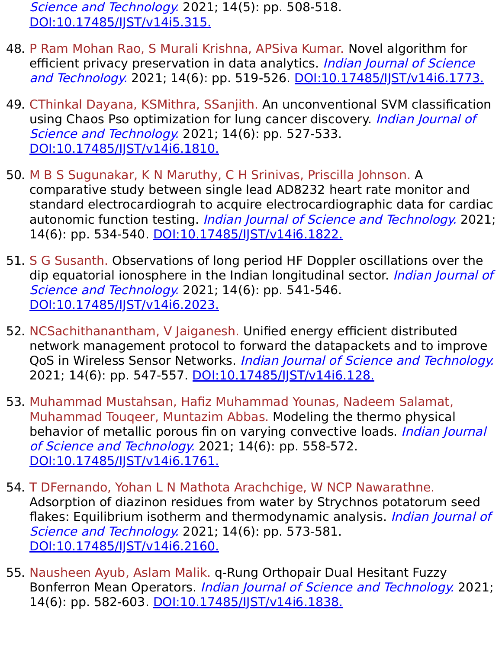Science and Technology. 2021; 14(5): pp. 508-518. [DOI:10.17485/IJST/v14i5.315.](https://indjst.org/articles/role-of-data-mining-techniques-in-business)

- 48. P Ram Mohan Rao, S Murali Krishna, APSiva Kumar. Novel algorithm for efficient privacy preservation in data analytics. Indian Journal of Science and Technology. 2021; 14(6): pp. 519-526. [DOI:10.17485/IJST/v14i6.1773.](https://indjst.org/articles/novel-algorithm-for-efficient-privacy-preservation-in-data-analytics)
- 49. CThinkal Dayana, KSMithra, SSanjith. An unconventional SVM classification using Chaos Pso optimization for lung cancer discovery. Indian Journal of Science and Technology. 2021; 14(6): pp. 527-533. [DOI:10.17485/IJST/v14i6.1810.](https://indjst.org/articles/an-unconventional-svm-classification-using-chaos-pso-optimization-for-lung-cancer-discovery)
- 50. M B S Sugunakar, K N Maruthy, C H Srinivas, Priscilla Johnson. A comparative study between single lead AD8232 heart rate monitor and standard electrocardiograh to acquire electrocardiographic data for cardiac autonomic function testing. Indian Journal of Science and Technology. 2021; 14(6): pp. 534-540. [DOI:10.17485/IJST/v14i6.1822.](https://indjst.org/articles/a-comparative-study-between-single-lead-ad8232-heart-rate-monitor-and-standard-electrocardiograh-to-acquire-electrocardiographic-data-for-cardiac-autonomic-function-testing)
- 51. S G Susanth. Observations of long period HF Doppler oscillations over the dip equatorial ionosphere in the Indian longitudinal sector. *Indian Journal of* Science and Technology. 2021; 14(6): pp. 541-546. [DOI:10.17485/IJST/v14i6.2023.](https://indjst.org/articles/observations-of-long-period-hf-doppler-oscillations-over-the-dip-equatorial-ionosphere-in-the-indian-longitudinal-sector)
- 52. NCSachithanantham, V Jaiganesh. Unified energy efficient distributed network management protocol to forward the datapackets and to improve QoS in Wireless Sensor Networks. Indian Journal of Science and Technology. 2021; 14(6): pp. 547-557. DOI:10.17485/JJST/v14i6.128.
- 53. Muhammad Mustahsan, Hafiz Muhammad Younas, Nadeem Salamat, Muhammad Touqeer, Muntazim Abbas. Modeling the thermo physical behavior of metallic porous fin on varying convective loads. Indian Journal of Science and Technology. 2021; 14(6): pp. 558-572. [DOI:10.17485/IJST/v14i6.1761.](https://indjst.org/articles/modeling-the-thermo-physical-behavior-of-metallic-porous-fin-on-varying-convective-loads)
- 54. T DFernando, Yohan L N Mathota Arachchige, W NCP Nawarathne. Adsorption of diazinon residues from water by Strychnos potatorum seed flakes: Equilibrium isotherm and thermodynamic analysis. Indian Journal of Science and Technology. 2021; 14(6): pp. 573-581. [DOI:10.17485/IJST/v14i6.2160.](https://indjst.org/articles/adsorption-of-diazinon-residues-from-water-by-strychnos-potatorum-seed-flakes-equilibrium-isotherm-and-thermodynamic-analysis)
- 55. Nausheen Ayub, Aslam Malik. q-Rung Orthopair Dual Hesitant Fuzzy Bonferron Mean Operators. Indian Journal of Science and Technology. 2021; 14(6): pp. 582-603. DOI:10.17485/JJST/v14i6.1838.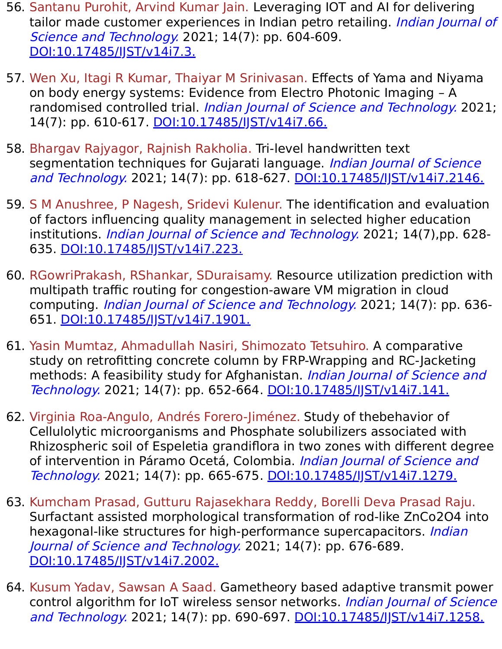- 56. Santanu Purohit, Arvind Kumar Jain. Leveraging IOT and AI for delivering tailor made customer experiences in Indian petro retailing. *Indian Journal of* Science and Technology. 2021; 14(7): pp. 604-609. [DOI:10.17485/IJST/v14i7.3.](https://indjst.org/articles/leveraging-iot-and-ai-for-delivering-tailor-made-customer-experiences-in-indian-petro-retailing)
- 57. Wen Xu, Itagi R Kumar, Thaiyar M Srinivasan. Effects of Yama and Niyama on body energy systems: Evidence from Electro Photonic Imaging – A randomised controlled trial. Indian Journal of Science and Technology. 2021; 14(7): pp. 610-617. DOI:10.17485/IST/v14i7.66.
- 58. Bhargav Rajyagor, Rajnish Rakholia. Tri-level handwritten text segmentation techniques for Gujarati language. Indian Journal of Science and Technology. 2021; 14(7): pp. 618-627. [DOI:10.17485/IJST/v14i7.2146.](https://indjst.org/articles/tri-level-handwritten-text-segmentation-techniques-for-gujarati-language)
- 59. S M Anushree, P Nagesh, Sridevi Kulenur. The identification and evaluation of factors influencing quality management in selected higher education institutions. Indian Journal of Science and Technology. 2021; 14(7),pp. 628-635. [DOI:10.17485/IJST/v14i7.223.](https://indjst.org/articles/the-identification-and-evaluation-of-factors-influencing-quality-management-in-selected-higher-education-institutions)
- 60. RGowriPrakash, RShankar, SDuraisamy. Resource utilization prediction with multipath traffic routing for congestion-aware VM migration in cloud computing. Indian Journal of Science and Technology. 2021; 14(7): pp. 636- 651. [DOI:10.17485/IJST/v14i7.1901.](https://indjst.org/articles/resource-utilization-prediction-with-multipath-traffic-routing-for-congestion-aware-vm-migration-in-cloud-computing)
- 61. Yasin Mumtaz, Ahmadullah Nasiri, Shimozato Tetsuhiro. A comparative study on retrofitting concrete column by FRP-Wrapping and RC-Jacketing methods: A feasibility study for Afghanistan. Indian Journal of Science and Technology. 2021; 14(7): pp. 652-664. [DOI:10.17485/IJST/v14i7.141.](https://indjst.org/articles/a-comparative-study-on-retrofitting-concrete-column-by-frp-wrapping-and-rc-jacketing-methods-a-feasibility-study-for-afghanistan)
- 62. Virginia Roa-Angulo, Andrés Forero-Jiménez. Study of thebehavior of Cellulolytic microorganisms and Phosphate solubilizers associated with Rhizospheric soil of Espeletia grandiflora in two zones with different degree of intervention in Páramo Ocetá, Colombia. Indian Journal of Science and Technology. 2021; 14(7): pp. 665-675. [DOI:10.17485/IJST/v14i7.1279.](https://indjst.org/articles/study-of-the-behavior-of-cellulolytic-microorganisms-and-phosphate-solubilizers-associated-with-rhizospheric-soil-of-espeletia-grandiflora-in-two-zones-with-different-degree-of-intervention-in-pramo-ocet-colombia)
- 63. Kumcham Prasad, Gutturu Rajasekhara Reddy, Borelli Deva Prasad Raju. Surfactant assisted morphological transformation of rod-like ZnCo2O4 into hexagonal-like structures for high-performance supercapacitors. Indian Journal of Science and Technology. 2021; 14(7): pp. 676-689. [DOI:10.17485/IJST/v14i7.2002.](https://indjst.org/articles/surfactant-assisted-morphological-transformation-of-rod-like-znco2o4-into-hexagonal-like-structures-for-high-performance-supercapacitors)
- 64. Kusum Yadav, Sawsan A Saad. Gametheory based adaptive transmit power control algorithm for IoT wireless sensor networks. Indian Journal of Science and Technology. 2021; 14(7): pp. 690-697. [DOI:10.17485/IJST/v14i7.1258.](https://indjst.org/articles/game-theory-based-adaptive-transmit-power-control-algorithm-for-iot-wireless-sensor-networks)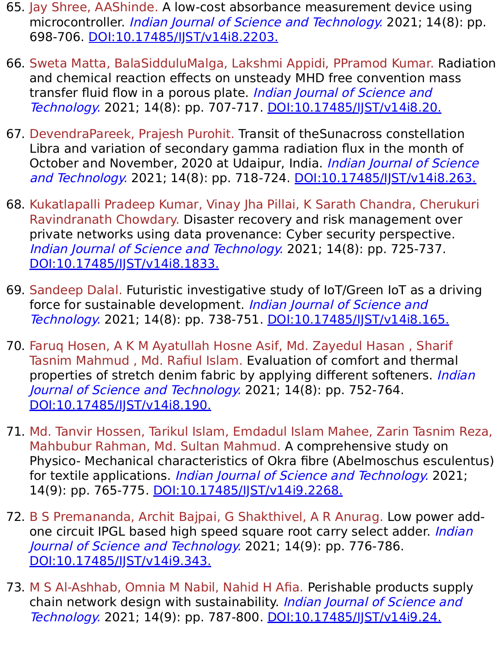- 65. Jay Shree, AAShinde. A low-cost absorbance measurement device using microcontroller. *Indian Journal of Science and Technology*. 2021; 14(8): pp. 698-706. [DOI:10.17485/IJST/v14i8.2203.](https://indjst.org/articles/a-low-cost-absorbance-measurement-device-using-microcontroller)
- 66. Sweta Matta, BalaSidduluMalga, Lakshmi Appidi, PPramod Kumar. Radiation and chemical reaction effects on unsteady MHD free convention mass transfer fluid flow in a porous plate. Indian Journal of Science and Technology. 2021; 14(8): pp. 707-717. [DOI:10.17485/IJST/v14i8.20.](https://indjst.org/articles/radiation-and-chemical-reaction-effects-on-unsteady-mhd-free-convention-mass-transfer-fluid-flow-in-a-porous-plate)
- 67. DevendraPareek, Prajesh Purohit. Transit of theSunacross constellation Libra and variation of secondary gamma radiation flux in the month of October and November, 2020 at Udaipur, India. *Indian Journal of Science* and Technology. 2021; 14(8): pp. 718-724. [DOI:10.17485/IJST/v14i8.263.](https://indjst.org/articles/transit-of-the-sun-across-constellation-libra-and-variation-of-secondary-gamma-radiation-flux-in-the-month-of-october-and-november-2020-at-udaipur-india)
- 68. Kukatlapalli Pradeep Kumar, Vinay Jha Pillai, K Sarath Chandra, Cherukuri Ravindranath Chowdary. Disaster recovery and risk management over private networks using data provenance: Cyber security perspective. Indian Journal of Science and Technology. 2021; 14(8): pp. 725-737. [DOI:10.17485/IJST/v14i8.1833.](https://indjst.org/articles/disaster-recovery-and-risk-management-over-private-networks-using-data-provenance-cyber-security-perspective)
- 69. Sandeep Dalal. Futuristic investigative study of IoT/Green IoT as a driving force for sustainable development. Indian Journal of Science and Technology. 2021; 14(8): pp. 738-751. [DOI:10.17485/IJST/v14i8.165.](https://indjst.org/articles/futuristic-investigative-study-of-iotgreen-iot-as-a-driving-force-for-sustainable-development)
- 70. Faruq Hosen, A K M Ayatullah Hosne Asif, Md. Zayedul Hasan , Sharif Tasnim Mahmud , Md. Rafiul Islam. Evaluation of comfort and thermal properties of stretch denim fabric by applying different softeners. *Indian* Journal of Science and Technology. 2021; 14(8): pp. 752-764. [DOI:10.17485/IJST/v14i8.190.](https://indjst.org/articles/evaluation-of-comfort-and-thermal-properties-of-stretch-denim-fabric-by-applying-different-softeners)
- 71. Md. Tanvir Hossen, Tarikul Islam, Emdadul Islam Mahee, Zarin Tasnim Reza, Mahbubur Rahman, Md. Sultan Mahmud. A comprehensive study on Physico- Mechanical characteristics of Okra fibre (Abelmoschus esculentus) for textile applications. Indian Journal of Science and Technology. 2021; 14(9): pp. 765-775. [DOI:10.17485/IJST/v14i9.2268.](https://indjst.org/articles/a-comprehensive-study-on-physico-mechanical-characteristics-of-okra-fibre-abelmoschus-esculentus-for-textile-applications)
- 72. B S Premananda, Archit Bajpai, G Shakthivel, A R Anurag. Low power addone circuit IPGL based high speed square root carry select adder. *Indian* Journal of Science and Technology. 2021; 14(9): pp. 776-786. [DOI:10.17485/IJST/v14i9.343.](https://indjst.org/articles/low-power-add-one-circuit-ipgl-based-high-speed-square-root-carry-select-adder)
- 73. M S Al-Ashhab, Omnia M Nabil, Nahid H Afia. Perishable products supply chain network design with sustainability. Indian Journal of Science and Technology. 2021; 14(9): pp. 787-800. [DOI:10.17485/IJST/v14i9.24.](https://indjst.org/articles/perishable-products-supply-chain-network-design-with-sustainability)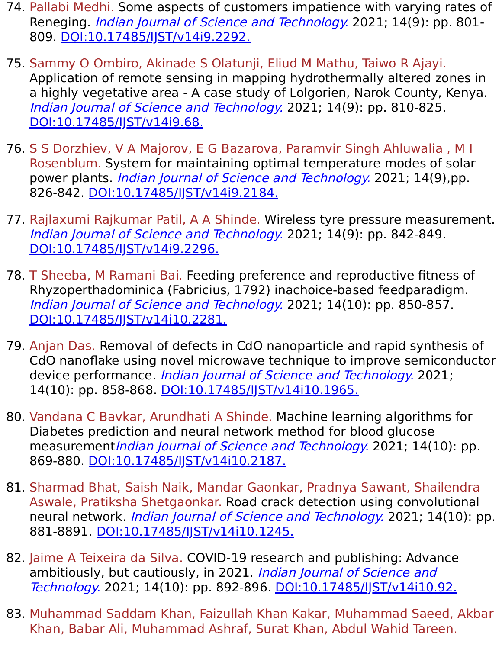- 74. Pallabi Medhi. Some aspects of customers impatience with varying rates of Reneging. *Indian Journal of Science and Technology*. 2021; 14(9): pp. 801-809. [DOI:10.17485/IJST/v14i9.2292.](https://indjst.org/articles/some-aspects-of-customers-impatience-with-varying-rates-of-reneging)
- 75. Sammy O Ombiro, Akinade S Olatunji, Eliud M Mathu, Taiwo R Ajayi. Application of remote sensing in mapping hydrothermally altered zones in a highly vegetative area - A case study of Lolgorien, Narok County, Kenya. Indian Journal of Science and Technology. 2021; 14(9): pp. 810-825. DOI:10.17485/IST/v14i9.68.
- 76. S S Dorzhiev, V A Majorov, E G Bazarova, Paramvir Singh Ahluwalia , M I Rosenblum. System for maintaining optimal temperature modes of solar power plants. *Indian Journal of Science and Technology*. 2021; 14(9),pp. 826-842. [DOI:10.17485/IJST/v14i9.2184.](https://indjst.org/articles/system-for-maintaining-optimal-temperature-modes-of-solar-power-plants)
- 77. Rajlaxumi Rajkumar Patil, A A Shinde. Wireless tyre pressure measurement. Indian Journal of Science and Technology. 2021; 14(9): pp. 842-849. [DOI:10.17485/IJST/v14i9.2296.](https://indjst.org/articles/wireless-tyre-pressure-measurement)
- 78. T Sheeba, M Ramani Bai. Feeding preference and reproductive fitness of Rhyzoperthadominica (Fabricius, 1792) inachoice-based feedparadigm. Indian Journal of Science and Technology. 2021; 14(10): pp. 850-857. [DOI:10.17485/IJST/v14i10.2281.](https://indjst.org/articles/feeding-preference-and-reproductive-fitness-of-rhyzopertha-dominica-fabricius-1792-in-a-choice-based-feed-paradigm)
- 79. Anjan Das. Removal of defects in CdO nanoparticle and rapid synthesis of CdO nanoflake using novel microwave technique to improve semiconductor device performance. *Indian Journal of Science and Technology*. 2021; 14(10): pp. 858-868. DOI:10.17485/JJST/v14i10.1965.
- 80. Vandana C Bavkar, Arundhati A Shinde. Machine learning algorithms for Diabetes prediction and neural network method for blood glucose measurement*Indian Journal of Science and Technology*. 2021; 14(10): pp. 869-880. [DOI:10.17485/IJST/v14i10.2187.](https://indjst.org/articles/machine-learning-algorithms-for-diabetes-prediction-and-neural-network-method-for-blood-glucose-measurement)
- 81. Sharmad Bhat, Saish Naik, Mandar Gaonkar, Pradnya Sawant, Shailendra Aswale, Pratiksha Shetgaonkar. Road crack detection using convolutional neural network. Indian Journal of Science and Technology. 2021; 14(10): pp. 881-8891. DOI:10.17485/JJST/v14i10.1245.
- 82. Jaime A Teixeira da Silva. COVID-19 research and publishing: Advance ambitiously, but cautiously, in 2021. *Indian Journal of Science and* Technology. 2021; 14(10): pp. 892-896. [DOI:10.17485/IJST/v14i10.92.](https://indjst.org/articles/covid-19-research-and-publishing-advance-ambitiously-but-cautiously-in-2021)
- 83. Muhammad Saddam Khan, Faizullah Khan Kakar, Muhammad Saeed, Akbar Khan, Babar Ali, Muhammad Ashraf, Surat Khan, Abdul Wahid Tareen.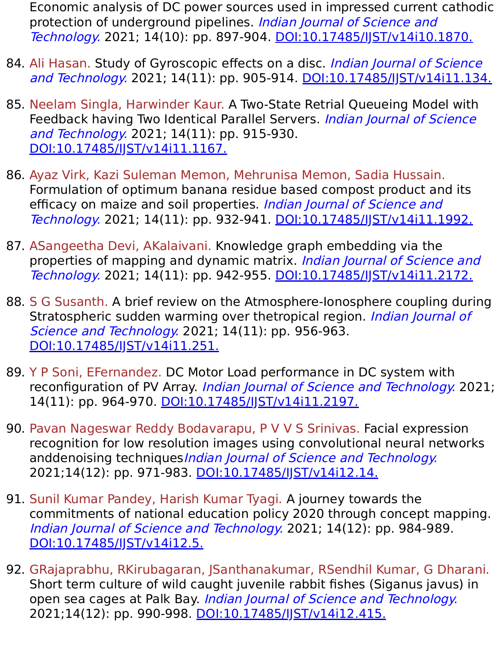Economic analysis of DC power sources used in impressed current cathodic protection of underground pipelines. Indian Journal of Science and Technology. 2021; 14(10): pp. 897-904. [DOI:10.17485/IJST/v14i10.1870.](https://indjst.org/articles/economic-analysis-of-dc-power-sources-used-in-impressed-current-cathodic-protection-of-underground-pipelines)

- 84. Ali Hasan. Study of Gyroscopic effects on a disc. Indian Journal of Science and Technology. 2021; 14(11): pp. 905-914. [DOI:10.17485/IJST/v14i11.134.](https://indjst.org/articles/study-of-gyroscopic-effects-on-a-disc)
- 85. Neelam Singla, Harwinder Kaur. A Two-State Retrial Queueing Model with Feedback having Two Identical Parallel Servers. Indian Journal of Science and Technology. 2021; 14(11): pp. 915-930. [DOI:10.17485/IJST/v14i11.1167.](https://indjst.org/articles/a-two-state-retrial-queueing-model-with-feedback-having-two-identical-parallel-servers)
- 86. Ayaz Virk, Kazi Suleman Memon, Mehrunisa Memon, Sadia Hussain. Formulation of optimum banana residue based compost product and its efficacy on maize and soil properties. Indian Journal of Science and Technology. 2021; 14(11): pp. 932-941. DOI:10.17485/JJST/v14i11.1992.
- 87. ASangeetha Devi, AKalaivani. Knowledge graph embedding via the properties of mapping and dynamic matrix. Indian Journal of Science and Technology. 2021; 14(11): pp. 942-955. [DOI:10.17485/IJST/v14i11.2172.](https://indjst.org/articles/knowledge-graph-embedding-via-the-properties-of-mapping-and-dynamic-matrix)
- 88. S G Susanth. A brief review on the Atmosphere-Ionosphere coupling during Stratospheric sudden warming over thetropical region. *Indian Journal of* Science and Technology. 2021; 14(11): pp. 956-963. [DOI:10.17485/IJST/v14i11.251.](https://indjst.org/articles/a-brief-review-on-the-atmosphere-ionosphere-coupling-during-stratospheric-sudden-warming-over-the-tropical-region)
- 89. Y P Soni, EFernandez. DC Motor Load performance in DC system with reconfiguration of PV Array. Indian Journal of Science and Technology. 2021; 14(11): pp. 964-970. DOI:10.17485/JST/v14i11.2197.
- 90. Pavan Nageswar Reddy Bodavarapu, P V V S Srinivas. Facial expression recognition for low resolution images using convolutional neural networks anddenoising techniquesIndian Journal of Science and Technology. 2021;14(12): pp. 971-983. [DOI:10.17485/IJST/v14i12.14.](https://indjst.org/articles/facial-expression-recognition-for-low-resolution-images-using-convolutional-neural-networks-and-denoising-techniques)
- 91. Sunil Kumar Pandey, Harish Kumar Tyagi. A journey towards the commitments of national education policy 2020 through concept mapping. Indian Journal of Science and Technology. 2021; 14(12): pp. 984-989. DOI:10.17485/JJST/v14i12.5.
- 92. GRajaprabhu, RKirubagaran, JSanthanakumar, RSendhil Kumar, G Dharani. Short term culture of wild caught juvenile rabbit fishes (Siganus javus) in open sea cages at Palk Bay. Indian Journal of Science and Technology. 2021;14(12): pp. 990-998. [DOI:10.17485/IJST/v14i12.415.](https://indjst.org/articles/short-term-culture-of-wild-caught-juvenile-rabbit-fishes-siganus-javus-in-open-sea-cages-at-palk-bay)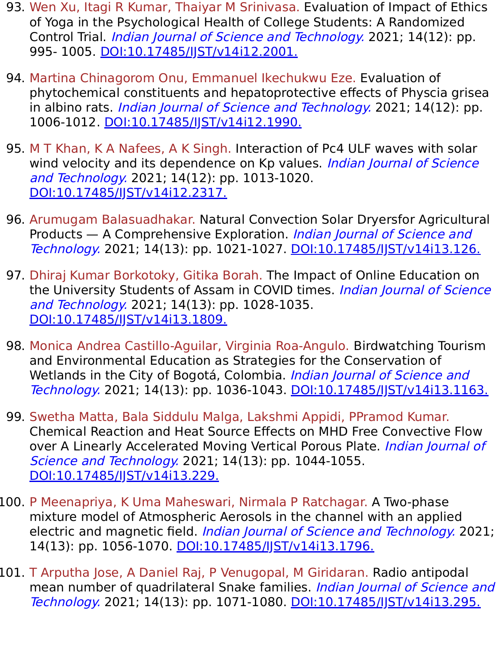- 93. Wen Xu, Itagi R Kumar, Thaiyar M Srinivasa. Evaluation of Impact of Ethics of Yoga in the Psychological Health of College Students: A Randomized Control Trial. *Indian Journal of Science and Technology*. 2021; 14(12): pp. 995- 1005. DOI:10.17485/JJST/v14i12.2001.
- 94. Martina Chinagorom Onu, Emmanuel Ikechukwu Eze. Evaluation of phytochemical constituents and hepatoprotective effects of Physcia grisea in albino rats. *Indian Journal of Science and Technology*. 2021; 14(12): pp. 1006-1012. [DOI:10.17485/IJST/v14i12.1990.](https://indjst.org/articles/evaluation-of-phytochemical-constituents-and-hepatoprotective-effects-of-physcia-grisea-in-albino-rats)
- 95. M T Khan, K A Nafees, A K Singh. Interaction of Pc4 ULF waves with solar wind velocity and its dependence on Kp values. *Indian Journal of Science* and Technology. 2021; 14(12): pp. 1013-1020. [DOI:10.17485/IJST/v14i12.2317.](https://indjst.org/articles/interaction-of-pc4-ulf-waves-with-solar-wind-velocity-and-its-dependence-on-kp-values)
- 96. Arumugam Balasuadhakar. Natural Convection Solar Dryersfor Agricultural Products – A Comprehensive Exploration. *Indian Journal of Science and* Technology. 2021; 14(13): pp. 1021-1027. DOI:10.17485/JJST/v14i13.126.
- 97. Dhiraj Kumar Borkotoky, Gitika Borah. The Impact of Online Education on the University Students of Assam in COVID times. Indian Journal of Science and Technology. 2021; 14(13): pp. 1028-1035. [DOI:10.17485/IJST/v14i13.1809.](https://indjst.org/articles/the-impact-of-online-education-on-the-university-students-of-assam-in-covid-times)
- 98. Monica Andrea Castillo-Aguilar, Virginia Roa-Angulo. Birdwatching Tourism and Environmental Education as Strategies for the Conservation of Wetlands in the City of Bogotá, Colombia. *Indian Journal of Science and* Technology. 2021; 14(13): pp. 1036-1043. [DOI:10.17485/IJST/v14i13.1163.](https://indjst.org/articles/birdwatching-tourism-and-environmental-education-as-strategies-for-the-conservation-of-wetlands-in-the-city-of-bogot-colombia)
- 99. Swetha Matta, Bala Siddulu Malga, Lakshmi Appidi, PPramod Kumar. Chemical Reaction and Heat Source Effects on MHD Free Convective Flow over A Linearly Accelerated Moving Vertical Porous Plate. *Indian Journal of* Science and Technology. 2021; 14(13): pp. 1044-1055. [DOI:10.17485/IJST/v14i13.229.](https://indjst.org/articles/chemical-reaction-and-heat-source-effects-on-mhd-free-convective-flow-over-a-linearly-accelerated-moving-vertical-porous-plate)
- 100. P Meenapriya, K Uma Maheswari, Nirmala P Ratchagar. A Two-phase mixture model of Atmospheric Aerosols in the channel with an applied electric and magnetic field. *Indian Journal of Science and Technology*. 2021; 14(13): pp. 1056-1070. DOI:10.17485/JST/v14i13.1796.
- 101. T Arputha Jose, A Daniel Raj, P Venugopal, M Giridaran. Radio antipodal mean number of quadrilateral Snake families. Indian Journal of Science and Technology. 2021; 14(13): pp. 1071-1080. [DOI:10.17485/IJST/v14i13.295.](https://indjst.org/articles/radio-antipodal-mean-number-of-quadrilateral-snake-families)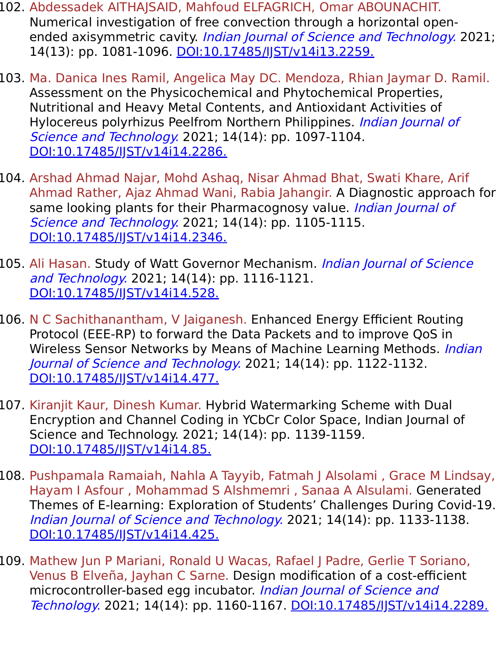- 102. Abdessadek AITHAJSAID, Mahfoud ELFAGRICH, Omar ABOUNACHIT. Numerical investigation of free convection through a horizontal openended axisymmetric cavity. *Indian Journal of Science and Technology*. 2021; 14(13): pp. 1081-1096. [DOI:10.17485/IJST/v14i13.2259.](https://indjst.org/articles/numerical-investigation-of-free-convection-through-a-horizontal-open-ended-axisymmetric-cavity)
- 103. Ma. Danica Ines Ramil, Angelica May DC. Mendoza, Rhian Jaymar D. Ramil. Assessment on the Physicochemical and Phytochemical Properties, Nutritional and Heavy Metal Contents, and Antioxidant Activities of Hylocereus polyrhizus Peelfrom Northern Philippines. *Indian Journal of* Science and Technology. 2021; 14(14): pp. 1097-1104. [DOI:10.17485/IJST/v14i14.2286.](https://indjst.org/articles/assessment-on-the-physicochemical-and-phytochemical-properties-nutritional-and-heavy-metal-contents-and-antioxidant-activities-of-hylocereus-polyrhizus-peel-from-northern-philippines)
- 104. Arshad Ahmad Najar, Mohd Ashaq, Nisar Ahmad Bhat, Swati Khare, Arif Ahmad Rather, Ajaz Ahmad Wani, Rabia Jahangir. A Diagnostic approach for same looking plants for their Pharmacognosy value. *Indian Journal of* Science and Technology. 2021; 14(14): pp. 1105-1115. [DOI:10.17485/IJST/v14i14.2346.](https://indjst.org/articles/a-diagnostic-approach-for-same-looking-plants-for-their-pharmacognosy-value)
- 105. Ali Hasan. Study of Watt Governor Mechanism. *Indian Journal of Science* and Technology. 2021; 14(14): pp. 1116-1121. [DOI:10.17485/IJST/v14i14.528.](https://indjst.org/articles/study-of-watt-governor-mechanism)
- 106. N C Sachithanantham, V Jaiganesh. Enhanced Energy Efficient Routing Protocol (EEE-RP) to forward the Data Packets and to improve QoS in Wireless Sensor Networks by Means of Machine Learning Methods. Indian Journal of Science and Technology. 2021; 14(14): pp. 1122-1132. [DOI:10.17485/IJST/v14i14.477.](https://indjst.org/articles/enhanced-energy-efficient-routing-protocol-eee-rp-to-forward-the-data-packets-and-to-improve-qos-in-wireless-sensor-networks-by-means-of-machine-learning-methods)
- 107. Kiranjit Kaur, Dinesh Kumar. Hybrid Watermarking Scheme with Dual Encryption and Channel Coding in YCbCr Color Space, Indian Journal of Science and Technology. 2021; 14(14): pp. 1139-1159. [DOI:10.17485/IJST/v14i14.85.](https://indjst.org/articles/hybrid-watermarking-scheme-with-dual-encryption-and-channel-coding-in-ycbcr-color-space)
- 108. Pushpamala Ramaiah, Nahla A Tayyib, Fatmah J Alsolami , Grace M Lindsay, Hayam I Asfour , Mohammad S Alshmemri , Sanaa A Alsulami. Generated Themes of E-learning: Exploration of Students' Challenges During Covid-19. Indian Journal of Science and Technology. 2021; 14(14): pp. 1133-1138. [DOI:10.17485/IJST/v14i14.425.](https://indjst.org/articles/generated-themes-of-e-learning-exploration-of-students-challenges-during-covid-19)
- 109. Mathew Jun P Mariani, Ronald U Wacas, Rafael J Padre, Gerlie T Soriano, Venus B Elveña, Jayhan C Sarne. Design modification of a cost-efficient microcontroller-based egg incubator. *Indian Journal of Science and* Technology. 2021; 14(14): pp. 1160-1167. DOI:10.17485/IST/v14i14.2289.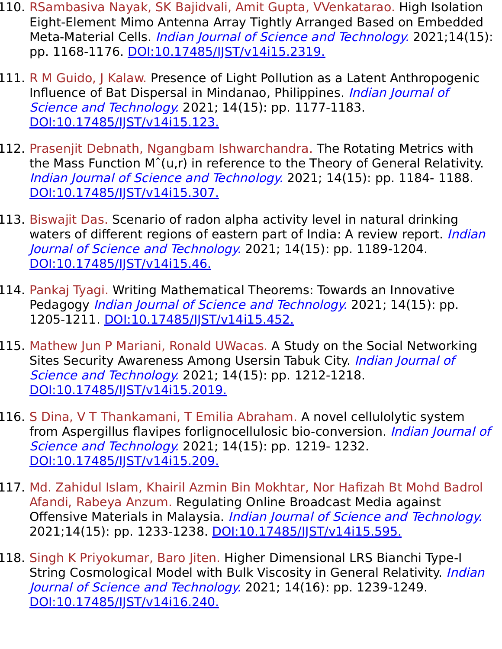- 110. RSambasiva Nayak, SK Bajidvali, Amit Gupta, VVenkatarao. High Isolation Eight-Element Mimo Antenna Array Tightly Arranged Based on Embedded Meta-Material Cells. *Indian Journal of Science and Technology*. 2021;14(15): pp. 1168-1176. [DOI:10.17485/IJST/v14i15.2319.](https://indjst.org/articles/high-isolation-eight-element-mimo-antenna-array-tightly-arranged-based-on-embedded-meta-material-cells)
- 111. R M Guido, J Kalaw. Presence of Light Pollution as a Latent Anthropogenic Influence of Bat Dispersal in Mindanao, Philippines. Indian Journal of Science and Technology. 2021; 14(15): pp. 1177-1183. [DOI:10.17485/IJST/v14i15.123.](https://indjst.org/articles/presence-of-light-pollution-as-a-latent-anthropogenic-influence-of-bat-dispersal-in-mindanao-philippines)
- 112. Prasenjit Debnath, Ngangbam Ishwarchandra. The Rotating Metrics with the Mass Function Mˆ(u,r) in reference to the Theory of General Relativity. Indian Journal of Science and Technology. 2021; 14(15): pp. 1184- 1188. [DOI:10.17485/IJST/v14i15.307.](https://indjst.org/articles/the-rotating-metrics-with-the-mass-function-mu-r-in-reference-to-the-theory-of-general-relativity)
- 113. Biswajit Das. Scenario of radon alpha activity level in natural drinking waters of different regions of eastern part of India: A review report. *Indian* Journal of Science and Technology. 2021; 14(15): pp. 1189-1204. [DOI:10.17485/IJST/v14i15.46.](https://indjst.org/articles/scenario-of-radon-alpha-activity-level-in-natural-drinking-waters-of-different-regions-of-eastern-part-of-india-a-review-report)
- 114. Pankaj Tyagi. Writing Mathematical Theorems: Towards an Innovative Pedagogy Indian Journal of Science and Technology. 2021; 14(15): pp. 1205-1211. [DOI:10.17485/IJST/v14i15.452.](https://indjst.org/articles/writing-mathematical-theorems-towards-an-innovative-pedagogy)
- 115. Mathew Jun P Mariani, Ronald UWacas. A Study on the Social Networking Sites Security Awareness Among Usersin Tabuk City. *Indian Journal of* Science and Technology. 2021; 14(15): pp. 1212-1218. [DOI:10.17485/IJST/v14i15.2019.](https://indjst.org/articles/a-study-on-the-social-networking-sites-security-awareness-among-users-in-tabuk-city)
- 116. S Dina, V T Thankamani, T Emilia Abraham. A novel cellulolytic system from Aspergillus flavipes forlignocellulosic bio-conversion. Indian Journal of Science and Technology. 2021; 14(15): pp. 1219- 1232. DOI:10.17485/IST/v14i15.209.
- 117. Md. Zahidul Islam, Khairil Azmin Bin Mokhtar, Nor Hafizah Bt Mohd Badrol Afandi, Rabeya Anzum. Regulating Online Broadcast Media against Offensive Materials in Malaysia. Indian Journal of Science and Technology. 2021;14(15): pp. 1233-1238. DOI:10.17485/IST/v14i15.595.
- 118. Singh K Priyokumar, Baro Jiten. Higher Dimensional LRS Bianchi Type-I String Cosmological Model with Bulk Viscosity in General Relativity. *Indian* Journal of Science and Technology. 2021; 14(16): pp. 1239-1249. [DOI:10.17485/IJST/v14i16.240.](https://indjst.org/articles/higher-dimensional-lrs-bianchi-type-i-string-cosmological-model-with-bulk-viscosity-in-general-relativity)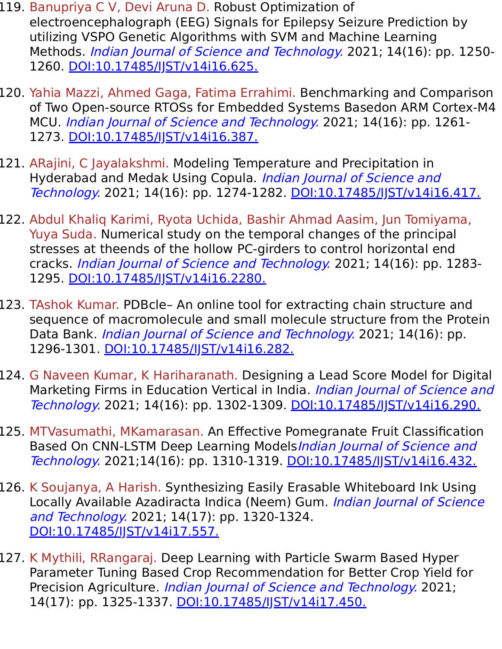- 119. Banupriya C V, Devi Aruna D. Robust Optimization of electroencephalograph (EEG) Signals for Epilepsy Seizure Prediction by utilizing VSPO Genetic Algorithms with SVM and Machine Learning Methods. *Indian Journal of Science and Technology*. 2021; 14(16): pp. 1250-1260. [DOI:10.17485/IJST/v14i16.625.](https://indjst.org/articles/robust-optimization-of-electroencephalograph-eeg-signals-for-epilepsy-seizure-prediction-by-utilizing-vspo-genetic-algorithms-with-svm-and-machine-learning-methods)
- 120. Yahia Mazzi, Ahmed Gaga, Fatima Errahimi. Benchmarking and Comparison of Two Open-source RTOSs for Embedded Systems Basedon ARM Cortex-M4 MCU. Indian Journal of Science and Technology. 2021; 14(16): pp. 1261- 1273. [DOI:10.17485/IJST/v14i16.387.](https://indjst.org/articles/benchmarking-and-comparison-of-two-open-source-rtoss-for-embedded-systems-based-on-arm-cortex-m4-mcu)
- 121. ARajini, C Jayalakshmi. Modeling Temperature and Precipitation in Hyderabad and Medak Using Copula. *Indian Journal of Science and* Technology. 2021; 14(16): pp. 1274-1282. [DOI:10.17485/IJST/v14i16.417.](https://indjst.org/articles/modeling-temperature-and-precipitation-in-hyderabad-and-medak-using-copula)
- 122. Abdul Khaliq Karimi, Ryota Uchida, Bashir Ahmad Aasim, Jun Tomiyama, Yuya Suda. Numerical study on the temporal changes of the principal stresses at theends of the hollow PC-girders to control horizontal end cracks. Indian Journal of Science and Technology. 2021; 14(16): pp. 1283- 1295. [DOI:10.17485/IJST/v14i16.2280.](https://indjst.org/articles/numerical-study-on-the-temporal-changes-of-the-principal-stresses-at-the-ends-of-the-hollow-pc-girders-to-control-horizontal-end-cracks)
- 123. TAshok Kumar. PDBcle– An online tool for extracting chain structure and sequence of macromolecule and small molecule structure from the Protein Data Bank. *Indian Journal of Science and Technology*. 2021; 14(16): pp. 1296-1301. [DOI:10.17485/IJST/v14i16.282.](https://indjst.org/articles/pdbcle-an-online-tool-for-extracting-chain-structure-and-sequence-of-macromolecule-and-small-molecule-structure-from-the-protein-data-bank)
- 124. G Naveen Kumar, K Hariharanath. Designing a Lead Score Model for Digital Marketing Firms in Education Vertical in India. Indian Journal of Science and Technology. 2021; 14(16): pp. 1302-1309. [DOI:10.17485/IJST/v14i16.290.](https://indjst.org/articles/designing-a-lead-score-model-for-digital-marketing-firms-in-education-vertical-in-india)
- 125. MTVasumathi, MKamarasan. An Effective Pomegranate Fruit Classification Based On CNN-LSTM Deep Learning Models*Indian Journal of Science and* Technology. 2021;14(16): pp. 1310-1319. [DOI:10.17485/IJST/v14i16.432.](https://indjst.org/articles/an-effective-pomegranate-fruit-classification-based-on-cnn-lstm-deep-learning-models)
- 126. K Soujanya, A Harish. Synthesizing Easily Erasable Whiteboard Ink Using Locally Available Azadiracta Indica (Neem) Gum. Indian Journal of Science and Technology. 2021; 14(17): pp. 1320-1324. [DOI:10.17485/IJST/v14i17.557.](https://indjst.org/articles/synthesizing-easily-erasable-whiteboard-ink-using-locally-available-azadiracta-indica-neem-gum)
- 127. K Mythili, RRangaraj. Deep Learning with Particle Swarm Based Hyper Parameter Tuning Based Crop Recommendation for Better Crop Yield for Precision Agriculture. *Indian Journal of Science and Technology*. 2021; 14(17): pp. 1325-1337. DOI:10.17485/JJST/v14i17.450.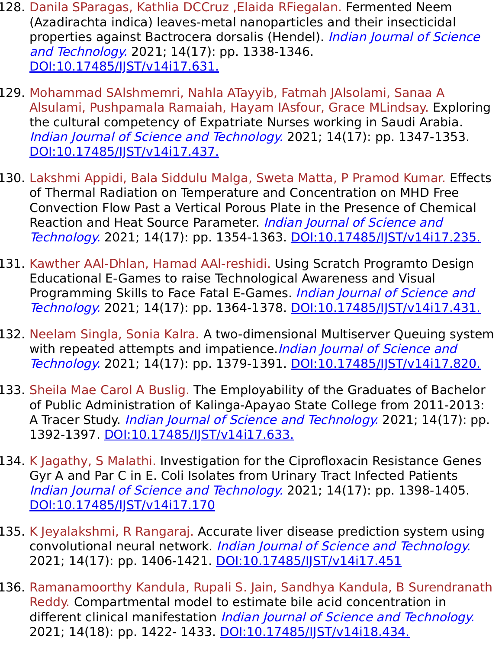- 128. Danila SParagas, Kathlia DCCruz ,Elaida RFiegalan. Fermented Neem (Azadirachta indica) leaves-metal nanoparticles and their insecticidal properties against Bactrocera dorsalis (Hendel). *Indian Journal of Science* and Technology. 2021; 14(17): pp. 1338-1346. [DOI:10.17485/IJST/v14i17.631.](https://indjst.org/articles/fermented-neem-azadirachta-indica-leaves-metal-nanoparticles-and-their-insecticidal-properties-against-bactrocera-dorsalis-hendel)
- 129. Mohammad SAlshmemri, Nahla ATayyib, Fatmah JAlsolami, Sanaa A Alsulami, Pushpamala Ramaiah, Hayam IAsfour, Grace MLindsay. Exploring the cultural competency of Expatriate Nurses working in Saudi Arabia. Indian Journal of Science and Technology. 2021; 14(17): pp. 1347-1353. DOI:10.17485/IST/v14i17.437.
- 130. Lakshmi Appidi, Bala Siddulu Malga, Sweta Matta, P Pramod Kumar. Effects of Thermal Radiation on Temperature and Concentration on MHD Free Convection Flow Past a Vertical Porous Plate in the Presence of Chemical Reaction and Heat Source Parameter. *Indian Journal of Science and* Technology. 2021; 14(17): pp. 1354-1363. [DOI:10.17485/IJST/v14i17.235.](https://indjst.org/articles/effects-of-thermal-radiation-on-temperature-and-concentration-on-mhd-free-convection-flow-past-a-vertical-porous-plate-in-the-presence-of-chemical-reaction-and-heat-source-parameter)
- 131. Kawther AAl-Dhlan, Hamad AAl-reshidi. Using Scratch Programto Design Educational E-Games to raise Technological Awareness and Visual Programming Skills to Face Fatal E-Games. *Indian Journal of Science and* Technology. 2021; 14(17): pp. 1364-1378. [DOI:10.17485/IJST/v14i17.431.](https://indjst.org/articles/using-scratch-program-to-design-educational-e-games-to-raise-technological-awareness-and-visual-programming-skills-to-face-fatal-e-games)
- 132. Neelam Singla, Sonia Kalra. A two-dimensional Multiserver Queuing system with repeated attempts and impatience. Indian Journal of Science and Technology. 2021; 14(17): pp. 1379-1391. DOI:10.17485/IST/v14i17.820.
- 133. Sheila Mae Carol A Buslig. The Employability of the Graduates of Bachelor of Public Administration of Kalinga-Apayao State College from 2011-2013: A Tracer Study. *Indian Journal of Science and Technology*. 2021; 14(17): pp. 1392-1397. [DOI:10.17485/IJST/v14i17.633.](https://indjst.org/articles/the-employability-of-the-graduates-of-bachelor-of-public-administration-of-kalinga-apayao-state-college-from-2011-2013-a-tracer-study)
- 134. K Jagathy, S Malathi. Investigation for the Ciprofloxacin Resistance Genes Gyr A and Par C in E. Coli Isolates from Urinary Tract Infected Patients Indian Journal of Science and Technology. 2021; 14(17): pp. 1398-1405. [DOI:10.17485/IJST/v14i17.170](https://indjst.org/articles/investigation-for-the-ciprofloxacin-resistance-genes-gyr-a-and-par-c-in-e-coli-isolates-from-urinary-tract-infected-patients)
- 135. K Jeyalakshmi, R Rangaraj. Accurate liver disease prediction system using convolutional neural network. Indian Journal of Science and Technology. 2021; 14(17): pp. 1406-1421. DOI:10.17485/JJST/v14i17.451
- 136. Ramanamoorthy Kandula, Rupali S. Jain, Sandhya Kandula, B Surendranath Reddy. Compartmental model to estimate bile acid concentration in different clinical manifestation Indian Journal of Science and Technology. 2021; 14(18): pp. 1422- 1433. DOI:10.17485/IST/v14i18.434.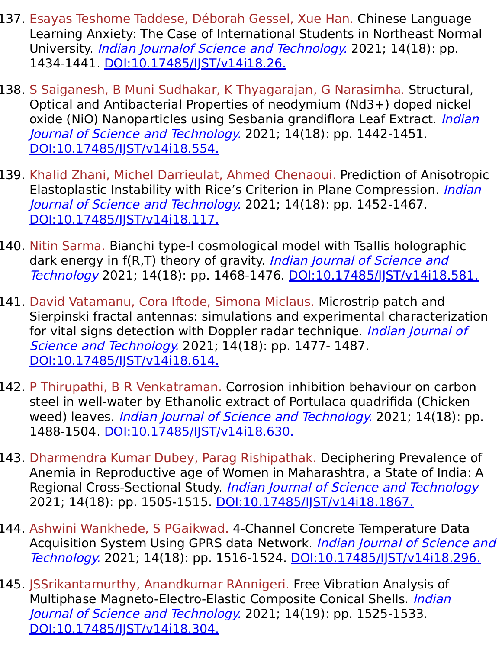- 137. Esayas Teshome Taddese, Déborah Gessel, Xue Han. Chinese Language Learning Anxiety: The Case of International Students in Northeast Normal University. Indian Journalof Science and Technology. 2021; 14(18): pp. 1434-1441. [DOI:10.17485/IJST/v14i18.26.](https://indjst.org/articles/chinese-language-learning-anxiety-the-case-of-international-students-in-northeast-normal-university)
- 138. S Saiganesh, B Muni Sudhakar, K Thyagarajan, G Narasimha. Structural, Optical and Antibacterial Properties of neodymium (Nd3+) doped nickel oxide (NiO) Nanoparticles using Sesbania grandiflora Leaf Extract. Indian Journal of Science and Technology. 2021; 14(18): pp. 1442-1451. DOI:10.17485/IST/v14i18.554.
- 139. Khalid Zhani, Michel Darrieulat, Ahmed Chenaoui. Prediction of Anisotropic Elastoplastic Instability with Rice's Criterion in Plane Compression. Indian Journal of Science and Technology. 2021; 14(18): pp. 1452-1467. DOI:10.17485/IST/v14i18.117.
- 140. Nitin Sarma. Bianchi type-I cosmological model with Tsallis holographic dark energy in f(R,T) theory of gravity. Indian Journal of Science and Technology 2021; 14(18): pp. 1468-1476. [DOI:10.17485/IJST/v14i18.581.](https://indjst.org/articles/bianchi-type-i-cosmological-model-with-tsallis-holographic-dark-energy-in-frt-theory-of-gravity)
- 141. David Vatamanu, Cora Iftode, Simona Miclaus. Microstrip patch and Sierpinski fractal antennas: simulations and experimental characterization for vital signs detection with Doppler radar technique. Indian Journal of Science and Technology. 2021; 14(18): pp. 1477- 1487. [DOI:10.17485/IJST/v14i18.614.](https://indjst.org/articles/microstrip-patch-and-sierpinski-fractal-antennas-simulations-and-experimental-characterization-for-vital-signs-detection-with-doppler-radar-technique)
- 142. P Thirupathi, B R Venkatraman. Corrosion inhibition behaviour on carbon steel in well-water by Ethanolic extract of Portulaca quadrifida (Chicken weed) leaves. *Indian Journal of Science and Technology*. 2021; 14(18): pp. 1488-1504. [DOI:10.17485/IJST/v14i18.630.](https://indjst.org/articles/corrosion-inhibition-behaviour-on-carbon-steel-in-well-water-by-ethanolic-extract-of-portulaca-quadrifida-chicken-weed-leaves)
- 143. Dharmendra Kumar Dubey, Parag Rishipathak. Deciphering Prevalence of Anemia in Reproductive age of Women in Maharashtra, a State of India: A Regional Cross-Sectional Study. Indian Journal of Science and Technology 2021; 14(18): pp. 1505-1515. DOI:10.17485/JJST/v14i18.1867.
- 144. Ashwini Wankhede, S PGaikwad. 4-Channel Concrete Temperature Data Acquisition System Using GPRS data Network. Indian Journal of Science and Technology. 2021; 14(18): pp. 1516-1524. [DOI:10.17485/IJST/v14i18.296.](https://indjst.org/articles/4-channel-concrete-temperature-data-acquisition-system-using-gprs-data-network)
- 145. JSSrikantamurthy, Anandkumar RAnnigeri. Free Vibration Analysis of Multiphase Magneto-Electro-Elastic Composite Conical Shells. *Indian* Journal of Science and Technology. 2021; 14(19): pp. 1525-1533. DOI:10.17485/IST/v14i18.304.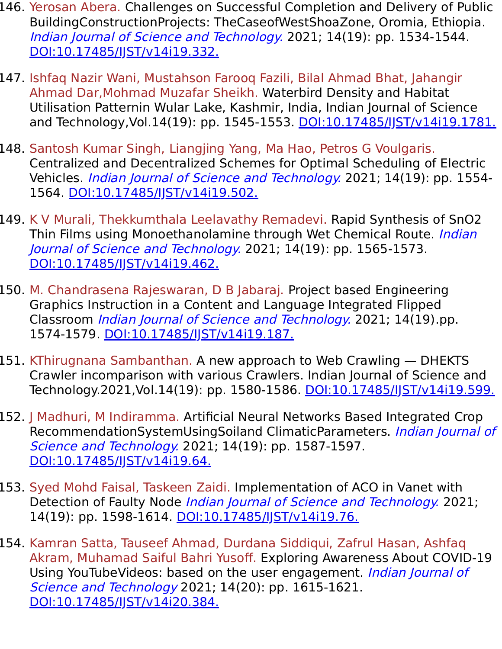- 146. Yerosan Abera. Challenges on Successful Completion and Delivery of Public BuildingConstructionProjects: TheCaseofWestShoaZone, Oromia, Ethiopia. Indian Journal of Science and Technology. 2021; 14(19): pp. 1534-1544. [DOI:10.17485/IJST/v14i19.332.](https://indjst.org/articles/challenges-on-successful-completion-and-delivery-of-public-building-construction-projects-the-case-of-west-shoa-zone-oromia-ethiopia)
- 147. Ishfaq Nazir Wani, Mustahson Farooq Fazili, Bilal Ahmad Bhat, Jahangir Ahmad Dar,Mohmad Muzafar Sheikh. Waterbird Density and Habitat Utilisation Patternin Wular Lake, Kashmir, India, Indian Journal of Science and Technology, Vol.14(19): pp. 1545-1553. DOI:10.17485/IST/v14i19.1781.
- 148. Santosh Kumar Singh, Liangjing Yang, Ma Hao, Petros G Voulgaris. Centralized and Decentralized Schemes for Optimal Scheduling of Electric Vehicles. Indian Journal of Science and Technology. 2021; 14(19): pp. 1554-1564. [DOI:10.17485/IJST/v14i19.502.](https://indjst.org/articles/centralized-and-decentralized-schemes-for-optimal-scheduling-of-electric-vehicles)
- 149. K V Murali, Thekkumthala Leelavathy Remadevi. Rapid Synthesis of SnO2 Thin Films using Monoethanolamine through Wet Chemical Route. *Indian* Journal of Science and Technology. 2021; 14(19): pp. 1565-1573. DOI:10.17485/IST/v14i19.462.
- 150. M. Chandrasena Rajeswaran, D B Jabaraj. Project based Engineering Graphics Instruction in a Content and Language Integrated Flipped Classroom Indian Journal of Science and Technology. 2021; 14(19).pp. 1574-1579. [DOI:10.17485/IJST/v14i19.187.](https://indjst.org/articles/project-based-engineering-graphics-instruction-in-a-content-and-language-integrated-flipped-classroom)
- 151. KThirugnana Sambanthan. A new approach to Web Crawling DHEKTS Crawler incomparison with various Crawlers. Indian Journal of Science and Technology.2021, Vol.14(19): pp. 1580-1586. DOI:10.17485/JJST/v14i19.599.
- 152. J Madhuri, M Indiramma. Artificial Neural Networks Based Integrated Crop RecommendationSystemUsingSoiland ClimaticParameters. Indian Journal of Science and Technology. 2021; 14(19): pp. 1587-1597. [DOI:10.17485/IJST/v14i19.64.](https://indjst.org/articles/artificial-neural-networks-based-integrated-crop-recommendation-system-using-soil-and-climatic-parameters)
- 153. Syed Mohd Faisal, Taskeen Zaidi. Implementation of ACO in Vanet with Detection of Faulty Node Indian Journal of Science and Technology. 2021; 14(19): pp. 1598-1614. DOI:10.17485/IST/v14i19.76.
- 154. Kamran Satta, Tauseef Ahmad, Durdana Siddiqui, Zafrul Hasan, Ashfaq Akram, Muhamad Saiful Bahri Yusoff. Exploring Awareness About COVID-19 Using YouTubeVideos: based on the user engagement. Indian Journal of Science and Technology 2021; 14(20): pp. 1615-1621. [DOI:10.17485/IJST/v14i20.384.](https://indjst.org/articles/exploring-awareness-about-covid-19-using-youtube-videos-based-on-the-user-engagement)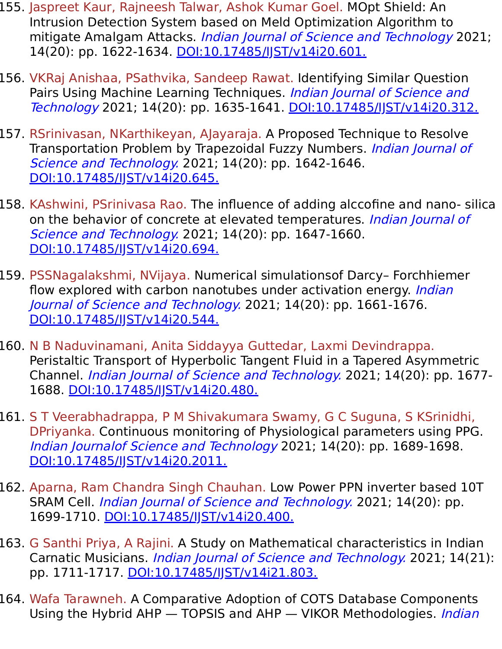- 155. Jaspreet Kaur, Rajneesh Talwar, Ashok Kumar Goel. MOpt Shield: An Intrusion Detection System based on Meld Optimization Algorithm to mitigate Amalgam Attacks. Indian Journal of Science and Technology 2021; 14(20): pp. 1622-1634. DOI:10.17485/JJST/v14i20.601.
- 156. VKRaj Anishaa, PSathvika, Sandeep Rawat. Identifying Similar Question Pairs Using Machine Learning Techniques. Indian Journal of Science and Technology 2021; 14(20): pp. 1635-1641. [DOI:10.17485/IJST/v14i20.312.](https://indjst.org/articles/identifying-similar-question-pairs-using-machine-learning-techniques)
- 157. RSrinivasan, NKarthikeyan, AJayaraja. A Proposed Technique to Resolve Transportation Problem by Trapezoidal Fuzzy Numbers. Indian Journal of Science and Technology. 2021; 14(20): pp. 1642-1646. [DOI:10.17485/IJST/v14i20.645.](https://indjst.org/articles/a-proposed-technique-to-resolve-transportation-problem-by-trapezoidal-fuzzy-numbers)
- 158. KAshwini, PSrinivasa Rao. The influence of adding alccofine and nano- silica on the behavior of concrete at elevated temperatures. Indian Journal of Science and Technology. 2021; 14(20): pp. 1647-1660. [DOI:10.17485/IJST/v14i20.694.](https://indjst.org/articles/the-influence-of-adding-alccofine-and-nano-silica-on-the-behavior-of-concrete-at-elevated-temperatures)
- 159. PSSNagalakshmi, NVijaya. Numerical simulationsof Darcy– Forchhiemer flow explored with carbon nanotubes under activation energy. *Indian* Journal of Science and Technology. 2021; 14(20): pp. 1661-1676. [DOI:10.17485/IJST/v14i20.544.](https://indjst.org/articles/numerical-simulations-of-darcy-forchhiemer-flow-explored-with-carbon-nanotubes-under-activation-energy)
- 160. N B Naduvinamani, Anita Siddayya Guttedar, Laxmi Devindrappa. Peristaltic Transport of Hyperbolic Tangent Fluid in a Tapered Asymmetric Channel. Indian Journal of Science and Technology. 2021; 14(20): pp. 1677- 1688. [DOI:10.17485/IJST/v14i20.480.](https://indjst.org/articles/peristaltic-transport-of-hyperbolic-tangent-fluid-in-a-tapered-asymmetric-channel)
- 161. S T Veerabhadrappa, P M Shivakumara Swamy, G C Suguna, S KSrinidhi, DPriyanka. Continuous monitoring of Physiological parameters using PPG. Indian Journalof Science and Technology 2021; 14(20): pp. 1689-1698. [DOI:10.17485/IJST/v14i20.2011.](https://indjst.org/articles/continuous-monitoring-of-physiological-parameters-using-ppg)
- 162. Aparna, Ram Chandra Singh Chauhan. Low Power PPN inverter based 10T SRAM Cell. *Indian Journal of Science and Technology*. 2021; 14(20): pp. 1699-1710. [DOI:10.17485/IJST/v14i20.400.](https://indjst.org/articles/low-power-ppn-inverter-based-10t-sram-cell)
- 163. G Santhi Priya, A Rajini. A Study on Mathematical characteristics in Indian Carnatic Musicians. Indian Journal of Science and Technology. 2021; 14(21): pp. 1711-1717. [DOI:10.17485/IJST/v14i21.803.](https://indjst.org/articles/a-study-on-mathematical-characteristics-in-indian-carnatic-musicians)
- 164. Wafa Tarawneh. A Comparative Adoption of COTS Database Components Using the Hybrid AHP - TOPSIS and AHP - VIKOR Methodologies. *Indian*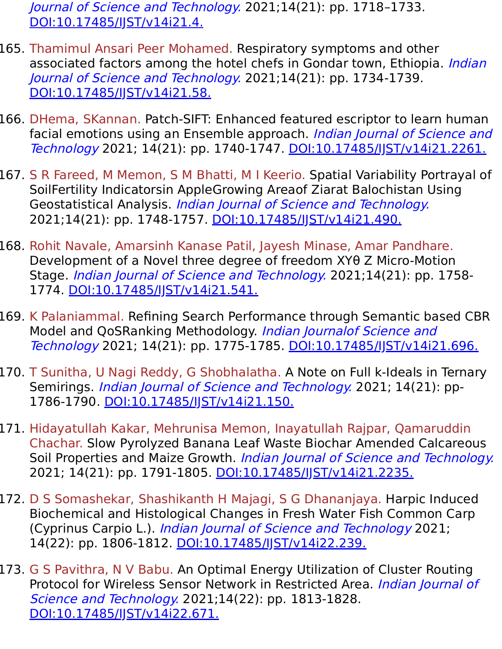Journal of Science and Technology. 2021;14(21): pp. 1718-1733. [DOI:10.17485/IJST/v14i21.4.](https://indjst.org/articles/a-comparative-adoption-of-cots-database-components-using-the-hybrid-ahp-topsis-and-ahp-vikor-methodologies)

- 165. Thamimul Ansari Peer Mohamed. Respiratory symptoms and other associated factors among the hotel chefs in Gondar town, Ethiopia. *Indian* Journal of Science and Technology. 2021;14(21): pp. 1734-1739. [DOI:10.17485/IJST/v14i21.58.](https://indjst.org/articles/respiratory-symptoms-and-other-associated-factors-among-the-hotel-chefs-in-gondar-town-ethiopia)
- 166. DHema, SKannan. Patch-SIFT: Enhanced featured escriptor to learn human facial emotions using an Ensemble approach. Indian Journal of Science and Technology 2021; 14(21): pp. 1740-1747. [DOI:10.17485/IJST/v14i21.2261.](https://indjst.org/articles/patch-sift-enhanced-feature-descriptor-to-learn-human-facial-emotions-using-an-ensemble-approach)
- 167. S R Fareed, M Memon, S M Bhatti, M I Keerio. Spatial Variability Portrayal of SoilFertility Indicatorsin AppleGrowing Areaof Ziarat Balochistan Using Geostatistical Analysis. Indian Journal of Science and Technology. 2021;14(21): pp. 1748-1757. DOI:10.17485/JJST/v14i21.490.
- 168. Rohit Navale, Amarsinh Kanase Patil, Jayesh Minase, Amar Pandhare. Development of a Novel three degree of freedom XYθ Z Micro-Motion Stage. Indian Journal of Science and Technology. 2021;14(21): pp. 1758- 1774. [DOI:10.17485/IJST/v14i21.541.](https://indjst.org/articles/development-of-a-novel-three-degree-of-freedom-xyz-micro-motion-stage)
- 169. K Palaniammal. Refining Search Performance through Semantic based CBR Model and QoSRanking Methodology. Indian Journalof Science and Technology 2021; 14(21): pp. 1775-1785. [DOI:10.17485/IJST/v14i21.696.](https://indjst.org/articles/refining-search-performance-through-semantic-based-cbr-model-and-qos-ranking-methodology)
- 170. T Sunitha, U Nagi Reddy, G Shobhalatha. A Note on Full k-Ideals in Ternary Semirings. Indian Journal of Science and Technology. 2021; 14(21): pp-1786-1790. [DOI:10.17485/IJST/v14i21.150.](https://indjst.org/articles/a-note-on-full-k-ideals-in-ternary-semirings)
- 171. Hidayatullah Kakar, Mehrunisa Memon, Inayatullah Rajpar, Qamaruddin Chachar. Slow Pyrolyzed Banana Leaf Waste Biochar Amended Calcareous Soil Properties and Maize Growth. Indian Journal of Science and Technology. 2021; 14(21): pp. 1791-1805. [DOI:10.17485/IJST/v14i21.2235.](https://indjst.org/articles/slow-pyrolyzed-banana-leaf-waste-biochar-amended-calcareous-soil-properties-and-maize-growth)
- 172. D S Somashekar, Shashikanth H Majagi, S G Dhananjaya. Harpic Induced Biochemical and Histological Changes in Fresh Water Fish Common Carp (Cyprinus Carpio L.). Indian Journal of Science and Technology 2021; 14(22): pp. 1806-1812. DOI:10.17485/JJST/v14i22.239.
- 173. G S Pavithra, N V Babu. An Optimal Energy Utilization of Cluster Routing Protocol for Wireless Sensor Network in Restricted Area. *Indian Journal of* Science and Technology. 2021;14(22): pp. 1813-1828. [DOI:10.17485/IJST/v14i22.671.](https://indjst.org/articles/an-optimal-energy-utilization-of-cluster-routing-protocol-for-wireless-sensor-network-in-restricted-area)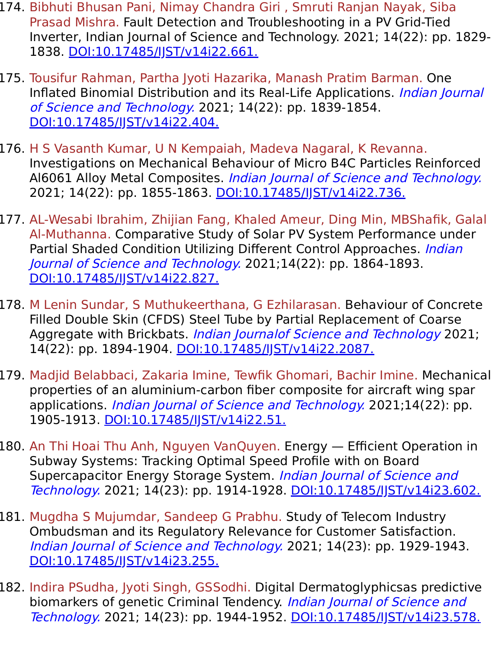- 174. Bibhuti Bhusan Pani, Nimay Chandra Giri , Smruti Ranjan Nayak, Siba Prasad Mishra. Fault Detection and Troubleshooting in a PV Grid-Tied Inverter, Indian Journal of Science and Technology. 2021; 14(22): pp. 1829- 1838. [DOI:10.17485/IJST/v14i22.661.](https://indjst.org/articles/fault-detection-and-troubleshooting-in-a-pv-grid-tied-inverter)
- 175. Tousifur Rahman, Partha Jyoti Hazarika, Manash Pratim Barman. One Inflated Binomial Distribution and its Real-Life Applications. Indian Journal of Science and Technology. 2021; 14(22): pp. 1839-1854. [DOI:10.17485/IJST/v14i22.404.](https://indjst.org/articles/one-inflated-binomial-distribution-and-its-real-life-applications)
- 176. H S Vasanth Kumar, U N Kempaiah, Madeva Nagaral, K Revanna. Investigations on Mechanical Behaviour of Micro B4C Particles Reinforced Al6061 Alloy Metal Composites. Indian Journal of Science and Technology. 2021; 14(22): pp. 1855-1863. [DOI:10.17485/IJST/v14i22.736.](https://indjst.org/articles/investigations-on-mechanical-behaviour-of-micro-bsub4subc-particles-reinforced-al6061-alloy-metal-composites)
- 177. AL-Wesabi Ibrahim, Zhijian Fang, Khaled Ameur, Ding Min, MBShafik, Galal Al-Muthanna. Comparative Study of Solar PV System Performance under Partial Shaded Condition Utilizing Different Control Approaches. *Indian* Journal of Science and Technology. 2021;14(22): pp. 1864-1893. [DOI:10.17485/IJST/v14i22.827.](https://indjst.org/articles/comparative-study-of-solar-pv-system-performance-under-partial-shaded-condition-utilizing-different-control-approaches)
- 178. M Lenin Sundar, S Muthukeerthana, G Ezhilarasan. Behaviour of Concrete Filled Double Skin (CFDS) Steel Tube by Partial Replacement of Coarse Aggregate with Brickbats. Indian Journalof Science and Technology 2021; 14(22): pp. 1894-1904. DOI:10.17485/JJST/v14i22.2087.
- 179. Madjid Belabbaci, Zakaria Imine, Tewfik Ghomari, Bachir Imine. Mechanical properties of an aluminium-carbon fiber composite for aircraft wing spar applications. *Indian Journal of Science and Technology.* 2021;14(22): pp. 1905-1913. [DOI:10.17485/IJST/v14i22.51.](https://indjst.org/articles/mechanical-properties-of-an-aluminium-carbon-fiber-composite-for-aircraft-wing-spar-applications)
- 180. An Thi Hoai Thu Anh, Nguyen VanQuyen. Energy Efficient Operation in Subway Systems: Tracking Optimal Speed Profile with on Board Supercapacitor Energy Storage System. Indian Journal of Science and Technology. 2021; 14(23): pp. 1914-1928. [DOI:10.17485/IJST/v14i23.602.](https://indjst.org/articles/energy-efficient-operation-in-subway-systems-tracking-optimal-speed-profile-with-on-board-supercapacitor-energy-storage-system)
- 181. Mugdha S Mujumdar, Sandeep G Prabhu. Study of Telecom Industry Ombudsman and its Regulatory Relevance for Customer Satisfaction. Indian Journal of Science and Technology. 2021; 14(23): pp. 1929-1943. [DOI:10.17485/IJST/v14i23.255.](https://indjst.org/articles/study-of-telecom-industry-ombudsman-and-its-regulatory-relevance-for-customer-satisfaction)
- 182. Indira PSudha, Jyoti Singh, GSSodhi. Digital Dermatoglyphicsas predictive biomarkers of genetic Criminal Tendency. Indian Journal of Science and Technology. 2021; 14(23): pp. 1944-1952. [DOI:10.17485/IJST/v14i23.578.](https://indjst.org/articles/digital-dermatoglyphics-as-predictive-biomarkers-of-genetic-criminal-tendency)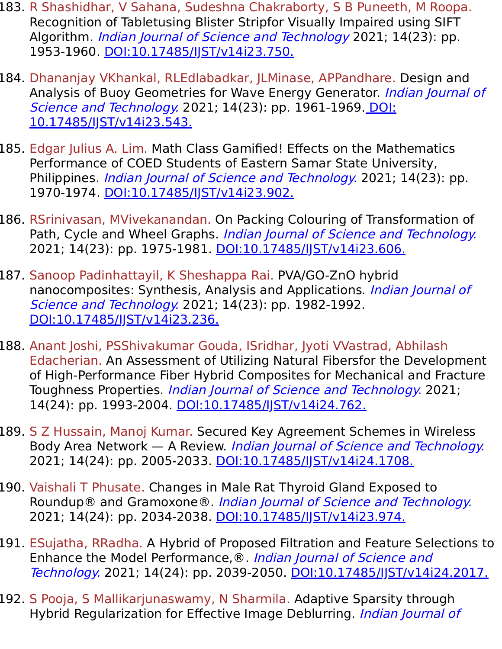- 183. R Shashidhar, V Sahana, Sudeshna Chakraborty, S B Puneeth, M Roopa. Recognition of Tabletusing Blister Stripfor Visually Impaired using SIFT Algorithm. *Indian Journal of Science and Technology* 2021; 14(23): pp. 1953-1960. [DOI:10.17485/IJST/v14i23.750.](https://indjst.org/articles/recognition-of-tablet-using-blister-strip-for-visually-impaired-using-sift-algorithm)
- 184. Dhananjay VKhankal, RLEdlabadkar, JLMinase, APPandhare. Design and Analysis of Buoy Geometries for Wave Energy Generator. Indian Journal of Science and Technology. [2021; 14\(23\): pp. 1961-1969. DOI:](https://indjst.org/articles/design-and-analysis-of-buoy-geometries-for-wave-energy-generator) 10.17485/IJST/v14i23.543.
- 185. Edgar Julius A. Lim. Math Class Gamified! Effects on the Mathematics Performance of COED Students of Eastern Samar State University, Philippines. *Indian Journal of Science and Technology*. 2021; 14(23): pp. 1970-1974. [DOI:10.17485/IJST/v14i23.902.](https://indjst.org/articles/math-class-gamified-effects-on-the-mathematics-performance-of-coed-students-of-eastern-samar-state-university-philippines)
- 186. RSrinivasan, MVivekanandan. On Packing Colouring of Transformation of Path, Cycle and Wheel Graphs. *Indian Journal of Science and Technology*. 2021; 14(23): pp. 1975-1981. [DOI:10.17485/IJST/v14i23.606.](https://indjst.org/articles/on-packing-colouring-of-transformation-of-path-cycle-and-wheel-graphs)
- 187. Sanoop Padinhattayil, K Sheshappa Rai. PVA/GO-ZnO hybrid nanocomposites: Synthesis, Analysis and Applications. Indian Journal of Science and Technology. 2021; 14(23): pp. 1982-1992. [DOI:10.17485/IJST/v14i23.236.](https://indjst.org/articles/pvago-zno-hybrid-nanocomposites-synthesis-analysis-and-applications)
- 188. Anant Joshi, PSShivakumar Gouda, ISridhar, Jyoti VVastrad, Abhilash Edacherian. An Assessment of Utilizing Natural Fibersfor the Development of High-Performance Fiber Hybrid Composites for Mechanical and Fracture Toughness Properties. Indian Journal of Science and Technology. 2021; 14(24): pp. 1993-2004. [DOI:10.17485/IJST/v14i24.762.](https://indjst.org/articles/an-assessment-of-utilizing-natural-fibers-for-the-development-of-high-performance-fiber-hybrid-composites-for-mechanical-and-fracture-toughness-properties)
- 189. S Z Hussain, Manoj Kumar. Secured Key Agreement Schemes in Wireless Body Area Network — A Review. Indian Journal of Science and Technology. 2021; 14(24): pp. 2005-2033. [DOI:10.17485/IJST/v14i24.1708.](https://indjst.org/articles/secured-key-agreement-schemes-in-wireless-body-area-network-a-review)
- 190. Vaishali T Phusate. Changes in Male Rat Thyroid Gland Exposed to Roundup® and Gramoxone®. Indian Journal of Science and Technology. 2021; 14(24): pp. 2034-2038. DOI:10.17485/JJST/v14i23.974.
- 191. ESujatha, RRadha. A Hybrid of Proposed Filtration and Feature Selections to Enhance the Model Performance,<sup>®</sup>. *Indian Journal of Science and* Technology. 2021; 14(24): pp. 2039-2050. DOI:10.17485/JJST/v14i24.2017.
- 192. S Pooja, S Mallikarjunaswamy, N Sharmila. Adaptive Sparsity through Hybrid Regularization for Effective Image Deblurring. *Indian Journal of*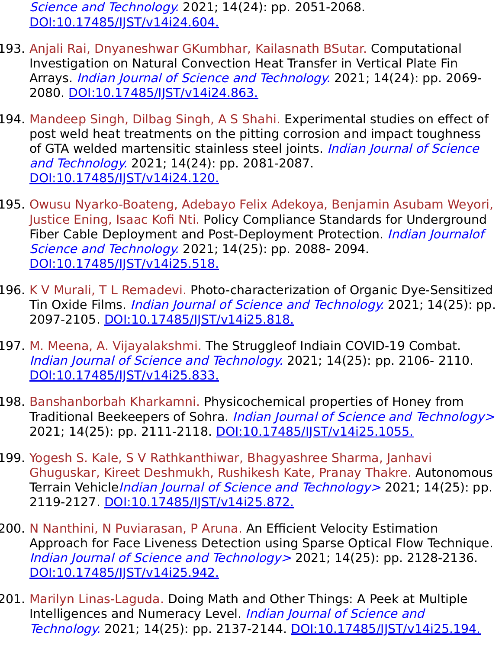Science and Technology. 2021; 14(24): pp. 2051-2068. [DOI:10.17485/IJST/v14i24.604.](https://indjst.org/articles/adaptive-sparsity-through-hybrid-regularization-for-effective-image-deblurring)

- 193. Anjali Rai, Dnyaneshwar GKumbhar, Kailasnath BSutar. Computational Investigation on Natural Convection Heat Transfer in Vertical Plate Fin Arrays. Indian Journal of Science and Technology. 2021; 14(24): pp. 2069- 2080. [DOI:10.17485/IJST/v14i24.863.](https://indjst.org/articles/computational-investigation-on-natural-convection-heat-transfer-in-vertical-plate-fin-arrays)
- 194. Mandeep Singh, Dilbag Singh, A S Shahi. Experimental studies on effect of post weld heat treatments on the pitting corrosion and impact toughness of GTA welded martensitic stainless steel joints. Indian Journal of Science and Technology. 2021; 14(24): pp. 2081-2087. [DOI:10.17485/IJST/v14i24.120.](https://indjst.org/articles/experimental-studies-on-effect-of-post-weld-heat-treatments-on-the-pitting-corrosion-and-impact-toughness-of-gta-welded-martensitic-stainless-steel-joints)
- 195. Owusu Nyarko-Boateng, Adebayo Felix Adekoya, Benjamin Asubam Weyori, Justice Ening, Isaac Kofi Nti. Policy Compliance Standards for Underground Fiber Cable Deployment and Post-Deployment Protection. *Indian Journalof* Science and Technology. 2021; 14(25): pp. 2088- 2094. [DOI:10.17485/IJST/v14i25.518.](https://indjst.org/articles/policy-compliance-standards-for-underground-fiber-cable-deployment-and-post-deployment-protection)
- 196. K V Murali, T L Remadevi. Photo-characterization of Organic Dye-Sensitized Tin Oxide Films. *Indian Journal of Science and Technology*. 2021; 14(25): pp. 2097-2105. [DOI:10.17485/IJST/v14i25.818.](https://indjst.org/articles/photo-characterization-of-organic-dye-sensitized-tin-oxide-films)
- 197. M. Meena, A. Vijayalakshmi. The Struggleof Indiain COVID-19 Combat. Indian Journal of Science and Technology. 2021; 14(25): pp. 2106- 2110. [DOI:10.17485/IJST/v14i25.833.](https://indjst.org/articles/the-struggle-of-india-in-covid-19-combat)
- 198. Banshanborbah Kharkamni. Physicochemical properties of Honey from Traditional Beekeepers of Sohra. Indian Journal of Science and Technology> 2021; 14(25): pp. 2111-2118. [DOI:10.17485/IJST/v14i25.1055.](https://indjst.org/articles/physicochemical-properties-of-honey-from-traditional-beekeepers-of-sohra)
- 199. Yogesh S. Kale, S V Rathkanthiwar, Bhagyashree Sharma, Janhavi Ghuguskar, Kireet Deshmukh, Rushikesh Kate, Pranay Thakre. Autonomous Terrain Vehicle*Indian Journal of Science and Technology* > 2021; 14(25): pp. 2119-2127. [DOI:10.17485/IJST/v14i25.872.](https://indjst.org/articles/autonomous-terrain-vehicle)
- 200. N Nanthini, N Puviarasan, P Aruna. An Efficient Velocity Estimation Approach for Face Liveness Detection using Sparse Optical Flow Technique. Indian Journal of Science and Technology > 2021; 14(25): pp. 2128-2136. [DOI:10.17485/IJST/v14i25.942.](https://indjst.org/articles/an-efficient-velocity-estimation-approach-for-face-liveness-detection-using-sparse-optical-flow-technique)
- 201. Marilyn Linas-Laguda. Doing Math and Other Things: A Peek at Multiple Intelligences and Numeracy Level. Indian Journal of Science and Technology. 2021; 14(25): pp. 2137-2144. [DOI:10.17485/IJST/v14i25.194.](https://indjst.org/articles/doing-math-and-other-things-a-peek-at-multiple-intelligences-and-numeracy-level)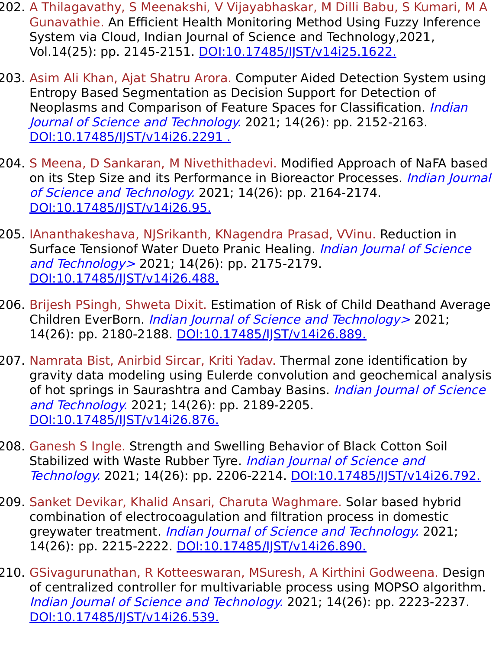- 202. A Thilagavathy, S Meenakshi, V Vijayabhaskar, M Dilli Babu, S Kumari, M A Gunavathie. An Efficient Health Monitoring Method Using Fuzzy Inference System via Cloud, Indian Journal of Science and Technology,2021, Vol.14(25): pp. 2145-2151. [DOI:10.17485/IJST/v14i25.1622.](https://indjst.org/articles/an-efficient-health-monitoring-method-using-fuzzy-inference-system-via-cloud)
- 203. Asim Ali Khan, Ajat Shatru Arora. Computer Aided Detection System using Entropy Based Segmentation as Decision Support for Detection of Neoplasms and Comparison of Feature Spaces for Classification. *Indian* Journal of Science and Technology. 2021; 14(26): pp. 2152-2163. DOI:10.17485/IST/v14i26.2291.
- 204. S Meena, D Sankaran, M Nivethithadevi. Modified Approach of NaFA based on its Step Size and its Performance in Bioreactor Processes. Indian Journal of Science and Technology. 2021; 14(26): pp. 2164-2174. [DOI:10.17485/IJST/v14i26.95.](https://indjst.org/articles/modified-approach-of-nafa-based-on-its-step-size-and-its-performance-in-bioreactor-processes)
- 205. IAnanthakeshava, NJSrikanth, KNagendra Prasad, VVinu. Reduction in Surface Tensionof Water Dueto Pranic Healing. *Indian Journal of Science* and Technology > 2021; 14(26): pp. 2175-2179. DOI:10.17485/IST/v14i26.488.
- 206. Brijesh PSingh, Shweta Dixit. Estimation of Risk of Child Deathand Average Children EverBorn. *Indian Journal of Science and Technology* > 2021; 14(26): pp. 2180-2188. [DOI:10.17485/IJST/v14i26.889.](https://indjst.org/articles/estimation-of-risk-of-child-death-and-average-children-ever-born)
- 207. Namrata Bist, Anirbid Sircar, Kriti Yadav. Thermal zone identification by gravity data modeling using Eulerde convolution and geochemical analysis of hot springs in Saurashtra and Cambay Basins. Indian Journal of Science and Technology. 2021; 14(26): pp. 2189-2205. [DOI:10.17485/IJST/v14i26.876.](https://indjst.org/articles/thermal-zone-identification-by-gravity-data-modeling-using-euler-deconvolution-and-geochemical-analysis-of-hot-springs-in-saurashtra-and-cambay-basins)
- 208. Ganesh S Ingle. Strength and Swelling Behavior of Black Cotton Soil Stabilized with Waste Rubber Tyre. Indian Journal of Science and Technology. 2021; 14(26): pp. 2206-2214. DOI:10.17485/IST/v14i26.792.
- 209. Sanket Devikar, Khalid Ansari, Charuta Waghmare. Solar based hybrid combination of electrocoagulation and filtration process in domestic greywater treatment. *Indian Journal of Science and Technology*. 2021; 14(26): pp. 2215-2222. [DOI:10.17485/IJST/v14i26.890.](https://indjst.org/articles/solar-based-hybrid-combination-of-electrocoagulation-and-filtration-process-in-domestic-greywater-treatment)
- 210. GSivagurunathan, R Kotteeswaran, MSuresh, A Kirthini Godweena. Design of centralized controller for multivariable process using MOPSO algorithm. Indian Journal of Science and Technology. 2021; 14(26): pp. 2223-2237. [DOI:10.17485/IJST/v14i26.539.](https://indjst.org/articles/design-of-centralized-controller-for-multivariable-process-using-mopso-algorithm)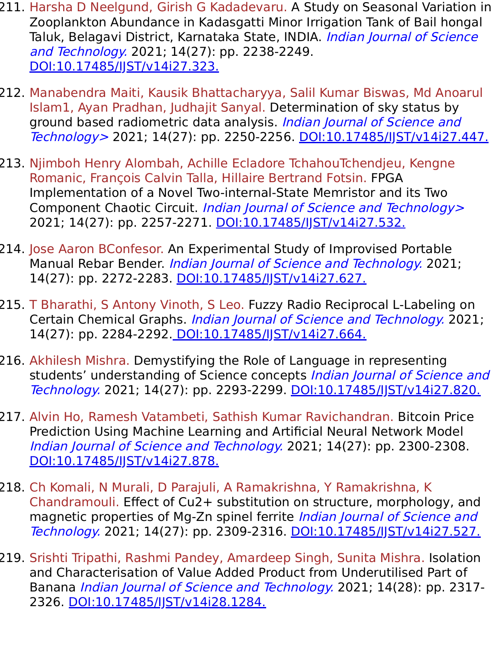- 211. Harsha D Neelgund, Girish G Kadadevaru. A Study on Seasonal Variation in Zooplankton Abundance in Kadasgatti Minor Irrigation Tank of Bail hongal Taluk, Belagavi District, Karnataka State, INDIA. Indian Journal of Science and Technology. 2021; 14(27): pp. 2238-2249. [DOI:10.17485/IJST/v14i27.323.](https://indjst.org/articles/a-study-on-seasonal-variation-in-zooplankton-abundance-in-kadasgatti-minor-irrigation-tank-of-bailhongal-taluk-belagavi-district-karnataka-state-india)
- 212. Manabendra Maiti, Kausik Bhattacharyya, Salil Kumar Biswas, Md Anoarul Islam1, Ayan Pradhan, Judhajit Sanyal. Determination of sky status by ground based radiometric data analysis. Indian Journal of Science and Technology > 2021; 14(27): pp. 2250-2256. [DOI:10.17485/IJST/v14i27.447.](https://indjst.org/articles/determination-of-sky-status-by-ground-based-radiometric-data-analysis)
- 213. Njimboh Henry Alombah, Achille Ecladore TchahouTchendjeu, Kengne Romanic, François Calvin Talla, Hillaire Bertrand Fotsin. FPGA Implementation of a Novel Two-internal-State Memristor and its Two Component Chaotic Circuit. Indian Journal of Science and Technology> 2021; 14(27): pp. 2257-2271. DOI:10.17485/IST/v14i27.532.
- 214. Jose Aaron BConfesor. An Experimental Study of Improvised Portable Manual Rebar Bender. *Indian Journal of Science and Technology*. 2021; 14(27): pp. 2272-2283. [DOI:10.17485/IJST/v14i27.627.](https://indjst.org/articles/an-experimental-study-of-improvised-portable-manual-rebar-bender)
- 215. T Bharathi, S Antony Vinoth, S Leo. Fuzzy Radio Reciprocal L-Labeling on Certain Chemical Graphs. Indian Journal of Science and Technology. 2021; 14(27): pp. 2284-2292. [DOI:10.17485/IJST/v14i27.664.](https://indjst.org/articles/fuzzy-radio-reciprocal-l-labeling-on-certain-chemical-graphs)
- 216. Akhilesh Mishra. Demystifying the Role of Language in representing students' understanding of Science concepts Indian Journal of Science and Technology. 2021; 14(27): pp. 2293-2299. DOI:10.17485/JJST/v14i27.820.
- 217. Alvin Ho, Ramesh Vatambeti, Sathish Kumar Ravichandran. Bitcoin Price Prediction Using Machine Learning and Artificial Neural Network Model Indian Journal of Science and Technology. 2021; 14(27): pp. 2300-2308. DOI:10.17485/IST/v14i27.878.
- 218. Ch Komali, N Murali, D Parajuli, A Ramakrishna, Y Ramakrishna, K Chandramouli. Effect of Cu2+ substitution on structure, morphology, and magnetic properties of Mg-Zn spinel ferrite *Indian Journal of Science and* Technology. 2021; 14(27): pp. 2309-2316. [DOI:10.17485/IJST/v14i27.527.](https://indjst.org/articles/effect-of-cu2-substitution-on-structure-morphology-and-magnetic-properties-of-mg-zn-spinel-ferrite)
- 219. Srishti Tripathi, Rashmi Pandey, Amardeep Singh, Sunita Mishra. Isolation and Characterisation of Value Added Product from Underutilised Part of Banana *Indian Journal of Science and Technology*. 2021; 14(28): pp. 2317-2326. [DOI:10.17485/IJST/v14i28.1284.](https://indjst.org/articles/isolation-and-characterisation-of-value-added-product-from-underutilised-part-of-banana)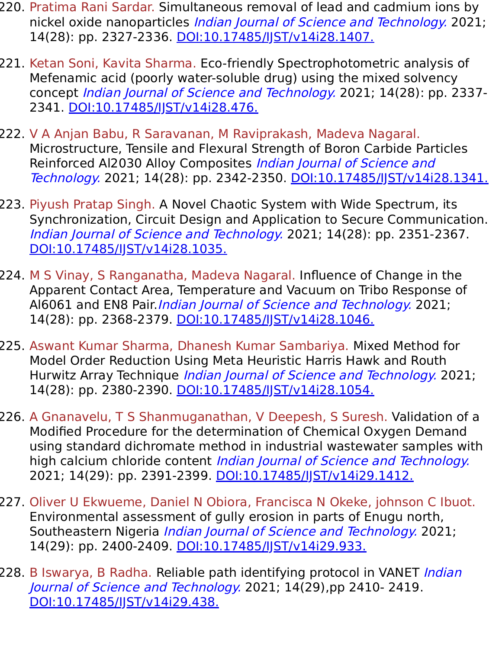- 220. Pratima Rani Sardar. Simultaneous removal of lead and cadmium ions by nickel oxide nanoparticles *Indian Journal of Science and Technology*. 2021; 14(28): pp. 2327-2336. [DOI:10.17485/IJST/v14i28.1407.](https://indjst.org/articles/simultaneous-removal-of-lead-and-cadmium-ions-by-nickel-oxide-nanoparticles)
- 221. Ketan Soni, Kavita Sharma. Eco-friendly Spectrophotometric analysis of Mefenamic acid (poorly water-soluble drug) using the mixed solvency concept Indian Journal of Science and Technology. 2021; 14(28): pp. 2337-2341. [DOI:10.17485/IJST/v14i28.476.](https://indjst.org/articles/eco-friendly-spectrophotometric-analysis-of-mefenamic-acid-poorly-water-soluble-drug-using-the-mixed-solvency-concept)
- 222. V A Anjan Babu, R Saravanan, M Raviprakash, Madeva Nagaral. Microstructure, Tensile and Flexural Strength of Boron Carbide Particles Reinforced Al2030 Alloy Composites *Indian Journal of Science and* Technology. 2021; 14(28): pp. 2342-2350. DOI:10.17485/JJST/v14i28.1341.
- 223. Piyush Pratap Singh. A Novel Chaotic System with Wide Spectrum, its Synchronization, Circuit Design and Application to Secure Communication. Indian Journal of Science and Technology. 2021; 14(28): pp. 2351-2367. [DOI:10.17485/IJST/v14i28.1035.](https://indjst.org/articles/a-novel-chaotic-system-with-wide-spectrum-its-synchronization-circuit-design-and-application-to-secure-communication)
- 224. M S Vinay, S Ranganatha, Madeva Nagaral. Influence of Change in the Apparent Contact Area, Temperature and Vacuum on Tribo Response of Al6061 and EN8 Pair. Indian Journal of Science and Technology. 2021; 14(28): pp. 2368-2379. [DOI:10.17485/IJST/v14i28.1046.](https://indjst.org/articles/influence-of-change-in-the-apparent-contact-area-temperature-and-vacuum-on-tribo-response-of-al6061-and-en8-pair)
- 225. Aswant Kumar Sharma, Dhanesh Kumar Sambariya. Mixed Method for Model Order Reduction Using Meta Heuristic Harris Hawk and Routh Hurwitz Array Technique *Indian Journal of Science and Technology*. 2021; 14(28): pp. 2380-2390. DOI:10.17485/JJST/v14i28.1054.
- 226. A Gnanavelu, T S Shanmuganathan, V Deepesh, S Suresh. Validation of a Modified Procedure for the determination of Chemical Oxygen Demand using standard dichromate method in industrial wastewater samples with high calcium chloride content *Indian Journal of Science and Technology*. 2021; 14(29): pp. 2391-2399. DOI:10.17485/IST/v14i29.1412.
- 227. Oliver U Ekwueme, Daniel N Obiora, Francisca N Okeke, johnson C Ibuot. Environmental assessment of gully erosion in parts of Enugu north, Southeastern Nigeria *Indian Journal of Science and Technology*. 2021; 14(29): pp. 2400-2409. [DOI:10.17485/IJST/v14i29.933.](https://indjst.org/articles/environmental-assessment-of-gully-erosion-in-parts-of-enugu-north-southeastern-nigeria)
- 228. B Iswarya, B Radha. Reliable path identifying protocol in VANET Indian Journal of Science and Technology. 2021; 14(29),pp 2410- 2419. [DOI:10.17485/IJST/v14i29.438.](https://indjst.org/articles/reliable-path-identifying-protocol-in-vanet)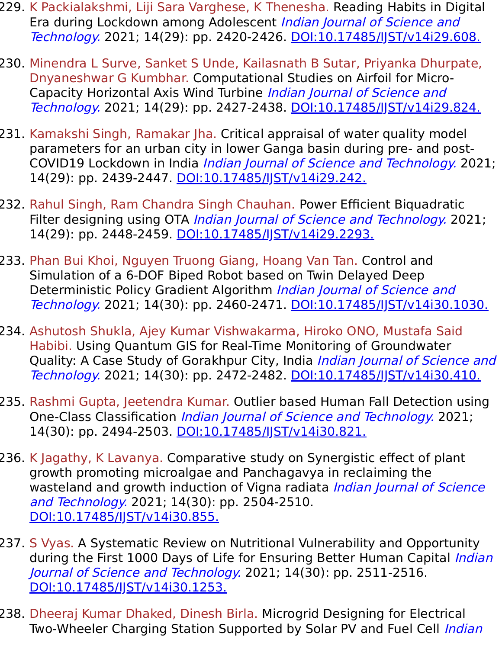- 229. K Packialakshmi, Liji Sara Varghese, K Thenesha. Reading Habits in Digital Era during Lockdown among Adolescent Indian Journal of Science and Technology. 2021; 14(29): pp. 2420-2426. [DOI:10.17485/IJST/v14i29.608.](https://indjst.org/articles/reading-habits-in-digital-era-during-lockdown-among-adolescent)
- 230. Minendra L Surve, Sanket S Unde, Kailasnath B Sutar, Priyanka Dhurpate, Dnyaneshwar G Kumbhar. Computational Studies on Airfoil for Micro-Capacity Horizontal Axis Wind Turbine Indian Journal of Science and Technology. 2021; 14(29): pp. 2427-2438. [DOI:10.17485/IJST/v14i29.824.](https://indjst.org/articles/computational-studies-on-airfoil-for-micro-capacity-horizontal-axis-wind-turbine)
- 231. Kamakshi Singh, Ramakar Jha. Critical appraisal of water quality model parameters for an urban city in lower Ganga basin during pre- and post-COVID19 Lockdown in India Indian Journal of Science and Technology. 2021; 14(29): pp. 2439-2447. [DOI:10.17485/IJST/v14i29.242.](https://indjst.org/articles/critical-appraisal-of-water-quality-model-parameters-for-an-urban-city-in-lower-ganga-basin-during-pre-and-post-covid19-lockdown-in-india)
- 232. Rahul Singh, Ram Chandra Singh Chauhan. Power Efficient Biquadratic Filter designing using OTA *Indian Journal of Science and Technology*. 2021; 14(29): pp. 2448-2459. [DOI:10.17485/IJST/v14i29.2293.](https://indjst.org/articles/power-efficient-biquadratic-filter-designing-using-ota)
- 233. Phan Bui Khoi, Nguyen Truong Giang, Hoang Van Tan. Control and Simulation of a 6-DOF Biped Robot based on Twin Delayed Deep Deterministic Policy Gradient Algorithm *Indian Journal of Science and* Technology. 2021; 14(30): pp. 2460-2471. [DOI:10.17485/IJST/v14i30.1030.](https://indjst.org/articles/control-and-simulation-of-a-6-dof-biped-robot-based-on-twin-delayed-deep-deterministic-policy-gradient-algorithm)
- 234. Ashutosh Shukla, Ajey Kumar Vishwakarma, Hiroko ONO, Mustafa Said Habibi. Using Quantum GIS for Real-Time Monitoring of Groundwater Quality: A Case Study of Gorakhpur City, India *Indian Journal of Science and* Technology. 2021; 14(30): pp. 2472-2482. [DOI:10.17485/IJST/v14i30.410.](https://indjst.org/articles/using-quantum-gis-for-real-time-monitoring-of-groundwater-quality-a-case-study-of-gorakhpur-city-india)
- 235. Rashmi Gupta, Jeetendra Kumar. Outlier based Human Fall Detection using One-Class Classification Indian Journal of Science and Technology. 2021; 14(30): pp. 2494-2503. DOI:10.17485/JJST/v14i30.821.
- 236. K Jagathy, K Lavanya. Comparative study on Synergistic effect of plant growth promoting microalgae and Panchagavya in reclaiming the wasteland and growth induction of Vigna radiata *Indian Journal of Science* and Technology. 2021; 14(30): pp. 2504-2510. [DOI:10.17485/IJST/v14i30.855.](https://indjst.org/articles/comparative-study-on-synergistic-effect-of-plant-growth-promoting-microalgae-and-panchagavya-in-reclaiming-the-wasteland-and-growth-induction-of-vigna-radiata)
- 237. S Vyas. A Systematic Review on Nutritional Vulnerability and Opportunity during the First 1000 Days of Life for Ensuring Better Human Capital *Indian* Journal of Science and Technology. 2021; 14(30): pp. 2511-2516. [DOI:10.17485/IJST/v14i30.1253.](https://indjst.org/articles/a-systematic-review-on-nutritional-vulnerability-and-opportunity-during-the-first-1000-days-of-life-for-ensuring-better-human-capital)
- 238. Dheeraj Kumar Dhaked, Dinesh Birla. Microgrid Designing for Electrical Two-Wheeler Charging Station Supported by Solar PV and Fuel Cell Indian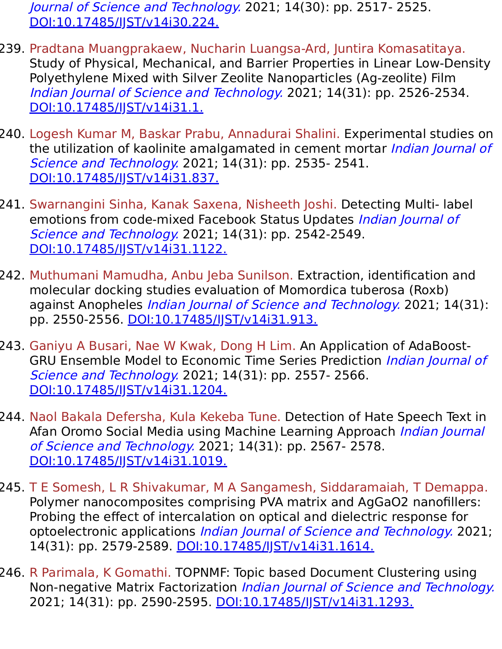Journal of Science and Technology. 2021; 14(30): pp. 2517- 2525. [DOI:10.17485/IJST/v14i30.224.](https://indjst.org/articles/microgrid-designing-for-electrical-two-wheeler-charging-station-supported-by-solar-pv-and-fuel-cell)

- 239. Pradtana Muangprakaew, Nucharin Luangsa-Ard, Juntira Komasatitaya. Study of Physical, Mechanical, and Barrier Properties in Linear Low-Density Polyethylene Mixed with Silver Zeolite Nanoparticles (Ag-zeolite) Film Indian Journal of Science and Technology. 2021; 14(31): pp. 2526-2534. [DOI:10.17485/IJST/v14i31.1.](https://indjst.org/articles/study-of-physical-mechanical-and-barrier-properties-in-linear-low-density-polyethylene-mixed-with-silver-zeolite-nanoparticles-ag-zeolite-film)
- 240. Logesh Kumar M, Baskar Prabu, Annadurai Shalini. Experimental studies on the utilization of kaolinite amalgamated in cement mortar Indian Journal of Science and Technology. 2021; 14(31): pp. 2535- 2541. [DOI:10.17485/IJST/v14i31.837.](https://indjst.org/articles/experimental-studies-on-the-utilization-of-kaolinite-amalgamated-in-cement-mortar)
- 241. Swarnangini Sinha, Kanak Saxena, Nisheeth Joshi. Detecting Multi- label emotions from code-mixed Facebook Status Updates Indian Journal of Science and Technology. 2021; 14(31): pp. 2542-2549. [DOI:10.17485/IJST/v14i31.1122.](https://indjst.org/articles/detecting-multi-label-emotions-from-code-mixed-facebook-status-updates)
- 242. Muthumani Mamudha, Anbu Jeba Sunilson. Extraction, identification and molecular docking studies evaluation of Momordica tuberosa (Roxb) against Anopheles *Indian Journal of Science and Technology*. 2021; 14(31): pp. 2550-2556. [DOI:10.17485/IJST/v14i31.913.](https://indjst.org/articles/extraction-identification-and-molecular-docking-studies-evaluation-of-momordica-tuberosa-roxb-against-anopheles)
- 243. Ganiyu A Busari, Nae W Kwak, Dong H Lim. An Application of AdaBoost-GRU Ensemble Model to Economic Time Series Prediction Indian Journal of Science and Technology. 2021; 14(31): pp. 2557- 2566. [DOI:10.17485/IJST/v14i31.1204.](https://indjst.org/articles/an-application-of-adaboost-gru-ensemble-model-to-economic-time-series-prediction)
- 244. Naol Bakala Defersha, Kula Kekeba Tune. Detection of Hate Speech Text in Afan Oromo Social Media using Machine Learning Approach Indian Journal of Science and Technology. 2021; 14(31): pp. 2567- 2578. [DOI:10.17485/IJST/v14i31.1019.](https://indjst.org/articles/detection-of-hate-speech-text-in-afan-oromo-social-media-using-machine-learning-approach)
- 245. T E Somesh, L R Shivakumar, M A Sangamesh, Siddaramaiah, T Demappa. Polymer nanocomposites comprising PVA matrix and AgGaO2 nanofillers: Probing the effect of intercalation on optical and dielectric response for optoelectronic applications Indian Journal of Science and Technology. 2021; 14(31): pp. 2579-2589. DOI:10.17485/JST/v14i31.1614.
- 246. R Parimala, K Gomathi. TOPNMF: Topic based Document Clustering using Non-negative Matrix Factorization Indian Journal of Science and Technology. 2021; 14(31): pp. 2590-2595. DOI:10.17485/JJST/v14i31.1293.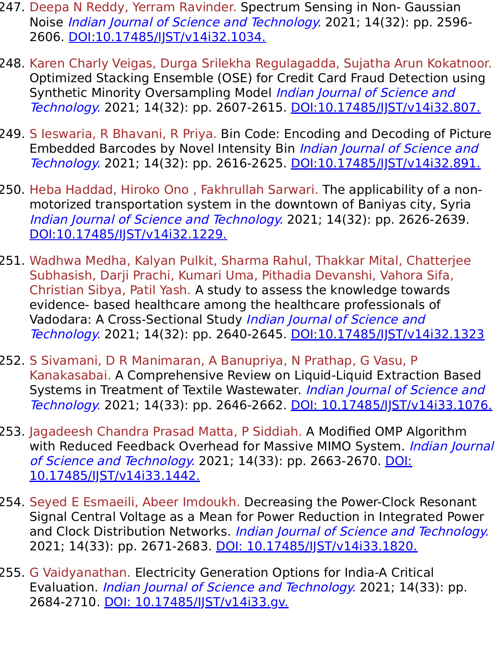- 247. Deepa N Reddy, Yerram Ravinder. Spectrum Sensing in Non- Gaussian Noise Indian Journal of Science and Technology. 2021; 14(32): pp. 2596- 2606. [DOI:10.17485/IJST/v14i32.1034.](https://indjst.org/articles/spectrum-sensing-in-non-gaussian-noise)
- 248. Karen Charly Veigas, Durga Srilekha Regulagadda, Sujatha Arun Kokatnoor. Optimized Stacking Ensemble (OSE) for Credit Card Fraud Detection using Synthetic Minority Oversampling Model Indian Journal of Science and Technology. 2021; 14(32): pp. 2607-2615. [DOI:10.17485/IJST/v14i32.807.](https://indjst.org/articles/optimized-stacking-ensemble-ose-for-credit-card-fraud-detection-using-synthetic-minority-oversampling-model)
- 249. S Ieswaria, R Bhavani, R Priya. Bin Code: Encoding and Decoding of Picture Embedded Barcodes by Novel Intensity Bin Indian Journal of Science and Technology. 2021; 14(32): pp. 2616-2625. DOI:10.17485/IST/v14i32.891.
- 250. Heba Haddad, Hiroko Ono , Fakhrullah Sarwari. The applicability of a nonmotorized transportation system in the downtown of Baniyas city, Syria Indian Journal of Science and Technology. 2021; 14(32): pp. 2626-2639. [DOI:10.17485/IJST/v14i32.1229.](https://indjst.org/articles/the-applicability-of-a-non-motorized-transportation-system-in-the-downtown-of-baniyas-city-syria)
- 251. Wadhwa Medha, Kalyan Pulkit, Sharma Rahul, Thakkar Mital, Chatterjee Subhasish, Darji Prachi, Kumari Uma, Pithadia Devanshi, Vahora Sifa, Christian Sibya, Patil Yash. A study to assess the knowledge towards evidence- based healthcare among the healthcare professionals of Vadodara: A Cross-Sectional Study Indian Journal of Science and Technology. 2021; 14(32): pp. 2640-2645. [DOI:10.17485/IJST/v14i32.1323](https://indjst.org/articles/a-study-to-assess-the-knowledge-towards-evidence-based-healthcare-among-the-healthcare-professionals-of-vadodara-a-cross-sectional-study)
- 252. S Sivamani, D R Manimaran, A Banupriya, N Prathap, G Vasu, P Kanakasabai. A Comprehensive Review on Liquid-Liquid Extraction Based Systems in Treatment of Textile Wastewater. Indian Journal of Science and Technology. 2021; 14(33): pp. 2646-2662. [DOI: 10.17485/IJST/v14i33.1076.](https://indjst.org/articles/a-comprehensive-review-on-liquid-liquid-extraction-based-systems-in-treatment-of-textile-wastewater)
- 253. Jagadeesh Chandra Prasad Matta, P Siddiah. A Modified OMP Algorithm with Reduced Feedback Overhead for Massive MIMO System. *Indian Journal* of Science and Technology. [2021; 14\(33\): pp. 2663-2670. DOI:](https://indjst.org/articles/a-modified-omp-algorithm-with-reduced-feedback-overhead-for-massive-mimo-system) 10.17485/IJST/v14i33.1442.
- 254. Seyed E Esmaeili, Abeer Imdoukh. Decreasing the Power-Clock Resonant Signal Central Voltage as a Mean for Power Reduction in Integrated Power and Clock Distribution Networks. Indian Journal of Science and Technology. 2021; 14(33): pp. 2671-2683. DOI: 10.17485/JST/v14i33.1820.
- 255. G Vaidyanathan. Electricity Generation Options for India-A Critical Evaluation. Indian Journal of Science and Technology. 2021; 14(33): pp. 2684-2710. [DOI: 10.17485/IJST/v14i33.gv.](https://indjst.org/articles/electricity-generation-options-for-india-a-critical-evaluation)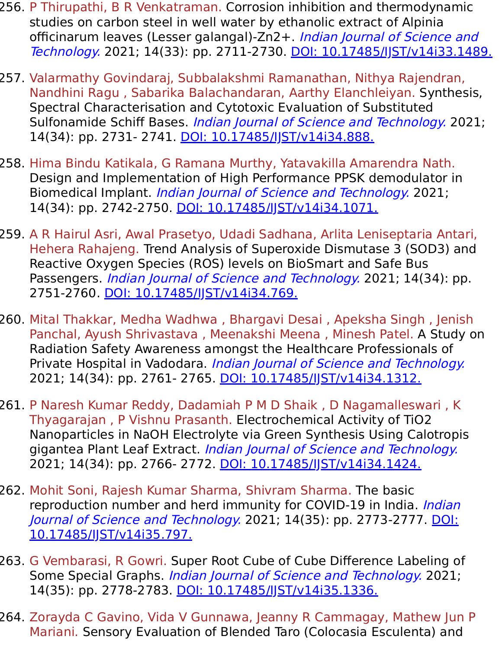- 256. P Thirupathi, B R Venkatraman. Corrosion inhibition and thermodynamic studies on carbon steel in well water by ethanolic extract of Alpinia officinarum leaves (Lesser galangal)-Zn2+. Indian Journal of Science and Technology. 2021; 14(33): pp. 2711-2730. DOI: 10.17485/IST/v14i33.1489.
- 257. Valarmathy Govindaraj, Subbalakshmi Ramanathan, Nithya Rajendran, Nandhini Ragu , Sabarika Balachandaran, Aarthy Elanchleiyan. Synthesis, Spectral Characterisation and Cytotoxic Evaluation of Substituted Sulfonamide Schiff Bases. *Indian Journal of Science and Technology*. 2021; 14(34): pp. 2731- 2741. DOI: 10.17485/JJST/v14i34.888.
- 258. Hima Bindu Katikala, G Ramana Murthy, Yatavakilla Amarendra Nath. Design and Implementation of High Performance PPSK demodulator in Biomedical Implant. Indian Journal of Science and Technology. 2021; 14(34): pp. 2742-2750. DOI: 10.17485/JJST/v14i34.1071.
- 259. A R Hairul Asri, Awal Prasetyo, Udadi Sadhana, Arlita Leniseptaria Antari, Hehera Rahajeng. Trend Analysis of Superoxide Dismutase 3 (SOD3) and Reactive Oxygen Species (ROS) levels on BioSmart and Safe Bus Passengers. *Indian Journal of Science and Technology*. 2021; 14(34): pp. 2751-2760. [DOI: 10.17485/IJST/v14i34.769.](https://indjst.org/articles/trend-analysis-of-superoxide-dismutase-3-sod3-and-reactive-oxygen-species-ros-levels-on-biosmart-and-safe-bus-passengers)
- 260. Mital Thakkar, Medha Wadhwa , Bhargavi Desai , Apeksha Singh , Jenish Panchal, Ayush Shrivastava , Meenakshi Meena , Minesh Patel. A Study on Radiation Safety Awareness amongst the Healthcare Professionals of Private Hospital in Vadodara. *Indian Journal of Science and Technology*. 2021; 14(34): pp. 2761- 2765. DOI: 10.17485/IST/v14i34.1312.
- 261. P Naresh Kumar Reddy, Dadamiah P M D Shaik , D Nagamalleswari , K Thyagarajan , P Vishnu Prasanth. Electrochemical Activity of TiO2 Nanoparticles in NaOH Electrolyte via Green Synthesis Using Calotropis gigantea Plant Leaf Extract. Indian Journal of Science and Technology. 2021; 14(34): pp. 2766- 2772. [DOI: 10.17485/IJST/v14i34.1424.](https://indjst.org/articles/electrochemical-activity-of-tio2-nanoparticles-in-naoh-electrolyte-via-green-synthesis-using-calotropis-gigantea-plant-leaf-extract)
- 262. Mohit Soni, Rajesh Kumar Sharma, Shivram Sharma. The basic reproduction number and herd immunity for COVID-19 in India. Indian Journal of Science and Technology. [2021; 14\(35\): pp. 2773-2777. DOI:](https://indjst.org/articles/the-basic-reproduction-number-and-herd-immunity-for-covid-19-in-india) 10.17485/IJST/v14i35.797.
- 263. G Vembarasi, R Gowri. Super Root Cube of Cube Difference Labeling of Some Special Graphs. *Indian Journal of Science and Technology*. 2021; 14(35): pp. 2778-2783. DOI: 10.17485/JST/v14i35.1336.
- 264. Zorayda C Gavino, Vida V Gunnawa, Jeanny R Cammagay, Mathew Jun P Mariani. Sensory Evaluation of Blended Taro (Colocasia Esculenta) and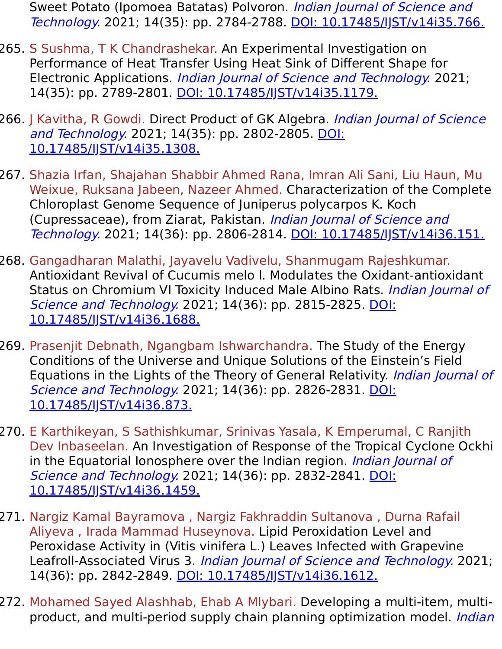Sweet Potato (Ipomoea Batatas) Polvoron. Indian Journal of Science and Technology. 2021; 14(35): pp. 2784-2788. [DOI: 10.17485/IJST/v14i35.766.](https://indjst.org/articles/sensory-evaluation-of-blended-taro-colocasia-esculenta-and-sweet-potato-ipomoea-batatas-polvoron)

- 265. S Sushma, T K Chandrashekar. An Experimental Investigation on Performance of Heat Transfer Using Heat Sink of Different Shape for Electronic Applications. Indian Journal of Science and Technology. 2021; 14(35): pp. 2789-2801. DOI: 10.17485/JJST/v14i35.1179.
- 266. J Kavitha, R Gowdi. Direct Product of GK Algebra. *Indian Journal of Science* and Technology. [2021; 14\(35\): pp. 2802-2805. DOI:](https://indjst.org/articles/direct-product-of-gk-algebra) 10.17485/IJST/v14i35.1308.
- 267. Shazia Irfan, Shajahan Shabbir Ahmed Rana, Imran Ali Sani, Liu Haun, Mu Weixue, Ruksana Jabeen, Nazeer Ahmed. Characterization of the Complete Chloroplast Genome Sequence of Juniperus polycarpos K. Koch (Cupressaceae), from Ziarat, Pakistan. Indian Journal of Science and Technology. 2021; 14(36): pp. 2806-2814. [DOI: 10.17485/IJST/v14i36.151.](https://indjst.org/articles/characterization-of-the-complete-chloroplast-genome-sequence-of-juniperus-polycarpos-k-koch-cupressaceae-from-ziarat-pakistan)
- 268. Gangadharan Malathi, Jayavelu Vadivelu, Shanmugam Rajeshkumar. Antioxidant Revival of Cucumis melo l. Modulates the Oxidant-antioxidant Status on Chromium VI Toxicity Induced Male Albino Rats. *Indian Journal of* Science and Technology. [2021; 14\(36\): pp. 2815-2825. DOI:](https://indjst.org/articles/antioxidant-revival-of-cucumis-melo-l-modulates-the-oxidant-antioxidant-status-on-chromium-vi-toxicity-induced-male-albino-rats) 10.17485/IJST/v14i36.1688.
- 269. Prasenjit Debnath, Ngangbam Ishwarchandra. The Study of the Energy Conditions of the Universe and Unique Solutions of the Einstein's Field Equations in the Lights of the Theory of General Relativity. Indian Journal of Science and Technology. [2021; 14\(36\): pp. 2826-2831. DOI:](https://indjst.org/articles/the-study-of-the-energy-conditions-of-the-universe-and-unique-solutions-of-the-einsteins-field-equations-in-the-lights-of-the-theory-of-general-relativity) 10.17485/IJST/v14i36.873.
- 270. E Karthikeyan, S Sathishkumar, Srinivas Yasala, K Emperumal, C Ranjith Dev Inbaseelan. An Investigation of Response of the Tropical Cyclone Ockhi in the Equatorial Ionosphere over the Indian region. *Indian Journal of* Science and Technology. [2021; 14\(36\): pp. 2832-2841. DOI:](https://indjst.org/articles/an-investigation-of-response-of-the-tropical-cyclone-ockhi-in-the-equatorial-ionosphere-over-the-indian-region) 10.17485/IJST/v14i36.1459.
- 271. Nargiz Kamal Bayramova , Nargiz Fakhraddin Sultanova , Durna Rafail Aliyeva , Irada Mammad Huseynova. Lipid Peroxidation Level and Peroxidase Activity in (Vitis vinifera L.) Leaves Infected with Grapevine Leafroll-Associated Virus 3. Indian Journal of Science and Technology. 2021; 14(36): pp. 2842-2849. [DOI: 10.17485/IJST/v14i36.1612.](https://indjst.org/articles/lipid-peroxidation-level-and-peroxidase-activity-in-vitis-vinifera-l-leaves-infected-with-grapevine-leafroll-associated-virus-3)
- 272. Mohamed Sayed Alashhab, Ehab A Mlybari. Developing a multi-item, multiproduct, and multi-period supply chain planning optimization model. *Indian*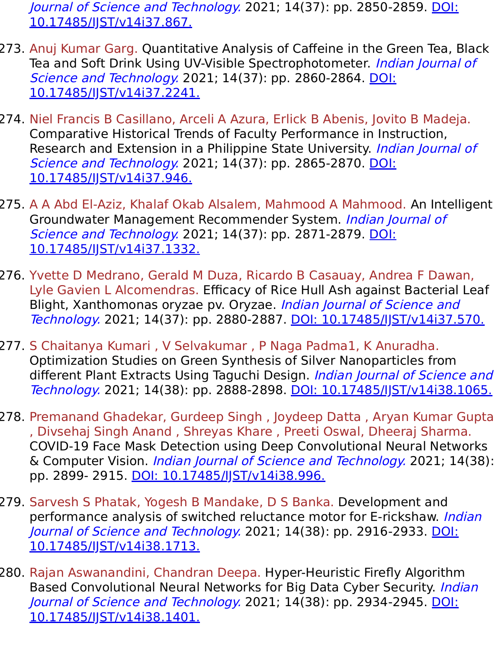Journal of Science and Technology. [2021; 14\(37\): pp. 2850-2859. DOI:](https://indjst.org/articles/developing-a-multi-item-multi-product-and-multi-period-supply-chain-planning-optimization-model) 10.17485/IJST/v14i37.867.

- 273. Anuj Kumar Garg. Quantitative Analysis of Caffeine in the Green Tea, Black Tea and Soft Drink Using UV-Visible Spectrophotometer. Indian Journal of Science and Technology. [2021; 14\(37\): pp. 2860-2864. DOI:](https://indjst.org/articles/quantitative-analysis-of-caffeine-in-the-green-tea-black-tea-and-soft-drink-using-uv-visible-spectrophotometer) 10.17485/IJST/v14i37.2241.
- 274. Niel Francis B Casillano, Arceli A Azura, Erlick B Abenis, Jovito B Madeja. Comparative Historical Trends of Faculty Performance in Instruction, Research and Extension in a Philippine State University. Indian Journal of Science and Technology. [2021; 14\(37\): pp. 2865-2870. DOI:](https://indjst.org/articles/comparative-historical-trends-of-faculty-performance-in-instruction-research-and-extension-in-a-philippine-state-university) 10.17485/IJST/v14i37.946.
- 275. A A Abd El-Aziz, Khalaf Okab Alsalem, Mahmood A Mahmood. An Intelligent Groundwater Management Recommender System. Indian Journal of Science and Technology. [2021; 14\(37\): pp. 2871-2879. DOI:](https://indjst.org/articles/an-intelligent-groundwater-management-recommender-system) 10.17485/IJST/v14i37.1332.
- 276. Yvette D Medrano, Gerald M Duza, Ricardo B Casauay, Andrea F Dawan, Lyle Gavien L Alcomendras. Efficacy of Rice Hull Ash against Bacterial Leaf Blight, Xanthomonas oryzae pv. Oryzae. Indian Journal of Science and Technology. 2021; 14(37): pp. 2880-2887. [DOI: 10.17485/IJST/v14i37.570.](https://indjst.org/articles/efficacy-of-rice-hull-ash-against-bacterial-leaf-blight-xanthomonas-oryzae-pv-oryzae)
- 277. S Chaitanya Kumari , V Selvakumar , P Naga Padma1, K Anuradha. Optimization Studies on Green Synthesis of Silver Nanoparticles from different Plant Extracts Using Taguchi Design. Indian Journal of Science and Technology. 2021; 14(38): pp. 2888-2898. [DOI: 10.17485/IJST/v14i38.1065.](https://indjst.org/articles/optimization-studies-on-green-synthesis-of-silver-nanoparticles-from-different-plant-extracts-using-taguchi-design)
- 278. Premanand Ghadekar, Gurdeep Singh , Joydeep Datta , Aryan Kumar Gupta , Divsehaj Singh Anand , Shreyas Khare , Preeti Oswal, Dheeraj Sharma. COVID-19 Face Mask Detection using Deep Convolutional Neural Networks & Computer Vision. Indian Journal of Science and Technology. 2021; 14(38): pp. 2899- 2915. [DOI: 10.17485/IJST/v14i38.996.](https://indjst.org/articles/covid-19-face-mask-detection-using-deep-convolutional-neural-networks-computer-vision)
- 279. Sarvesh S Phatak, Yogesh B Mandake, D S Banka. Development and performance analysis of switched reluctance motor for E-rickshaw. Indian Journal of Science and Technology. [2021; 14\(38\): pp. 2916-2933. DOI:](https://indjst.org/articles/development-and-performance-analysis-of-switched-reluctance-motor-for-e-rickshaw) 10.17485/IJST/v14i38.1713.
- 280. Rajan Aswanandini, Chandran Deepa. Hyper-Heuristic Firefly Algorithm Based Convolutional Neural Networks for Big Data Cyber Security. *Indian* Journal of Science and Technology. [2021; 14\(38\): pp. 2934-2945. DOI:](https://indjst.org/articles/hyper-heuristic-firefly-algorithm-based-convolutional-neural-networks-for-big-data-cyber-security) 10.17485/IJST/v14i38.1401.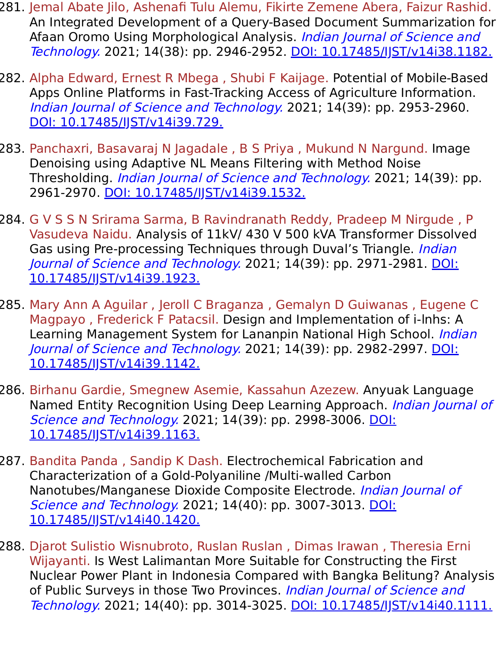- 281. Jemal Abate Jilo, Ashenafi Tulu Alemu, Fikirte Zemene Abera, Faizur Rashid. An Integrated Development of a Query-Based Document Summarization for Afaan Oromo Using Morphological Analysis. Indian Journal of Science and Technology. 2021; 14(38): pp. 2946-2952. [DOI: 10.17485/IJST/v14i38.1182.](https://indjst.org/articles/an-integrated-development-of-a-query-based-document-summarization-for-afaan-oromo-using-morphological-analysis)
- 282. Alpha Edward, Ernest R Mbega , Shubi F Kaijage. Potential of Mobile-Based Apps Online Platforms in Fast-Tracking Access of Agriculture Information. Indian Journal of Science and Technology. 2021; 14(39): pp. 2953-2960. DOI: 10.17485/IST/v14i39.729.
- 283. Panchaxri, Basavaraj N Jagadale , B S Priya , Mukund N Nargund. Image Denoising using Adaptive NL Means Filtering with Method Noise Thresholding. *Indian Journal of Science and Technology*. 2021; 14(39): pp. 2961-2970. [DOI: 10.17485/IJST/v14i39.1532.](https://indjst.org/articles/image-denoising-using-adaptive-nl-means-filtering-with-method-noise-thresholding)
- 284. G V S S N Srirama Sarma, B Ravindranath Reddy, Pradeep M Nirgude , P Vasudeva Naidu. Analysis of 11kV/ 430 V 500 kVA Transformer Dissolved Gas using Pre-processing Techniques through Duval's Triangle. *Indian* Journal of Science and Technology. [2021; 14\(39\): pp. 2971-2981. DOI:](https://indjst.org/articles/analysis-of-11kv-430-v-500-kva-transformer-dissolved-gas-using-pre-processing-techniques-through-duvals-triangle) 10.17485/IJST/v14i39.1923.
- 285. Mary Ann A Aguilar , Jeroll C Braganza , Gemalyn D Guiwanas , Eugene C Magpayo , Frederick F Patacsil. Design and Implementation of i-lnhs: A Learning Management System for Lananpin National High School. Indian Journal of Science and Technology. [2021; 14\(39\): pp. 2982-2997. DOI:](https://indjst.org/articles/design-and-implementation-of-i-lnhs-a-learning-management-system-for-lananpin-national-high-school) 10.17485/IJST/v14i39.1142.
- 286. Birhanu Gardie, Smegnew Asemie, Kassahun Azezew. Anyuak Language Named Entity Recognition Using Deep Learning Approach. *Indian Journal of* Science and Technology. [2021; 14\(39\): pp. 2998-3006. DOI:](https://indjst.org/articles/anyuak-language-named-entity-recognition-using-deep-learning-approach) 10.17485/IJST/v14i39.1163.
- 287. Bandita Panda , Sandip K Dash. Electrochemical Fabrication and Characterization of a Gold-Polyaniline /Multi-walled Carbon Nanotubes/Manganese Dioxide Composite Electrode. *Indian Journal of* Science and Technology. [2021; 14\(40\): pp. 3007-3013. DOI:](https://indjst.org/articles/electrochemical-fabrication-and-characterization-of-a-gold-polyaniline-multi-walled-carbon-nanotubesmanganese-dioxide-composite-electrode) 10.17485/IJST/v14i40.1420.
- 288. Djarot Sulistio Wisnubroto, Ruslan Ruslan , Dimas Irawan , Theresia Erni Wijayanti. Is West Lalimantan More Suitable for Constructing the First Nuclear Power Plant in Indonesia Compared with Bangka Belitung? Analysis of Public Surveys in those Two Provinces. Indian Journal of Science and Technology. 2021; 14(40): pp. 3014-3025. DOI: 10.17485/IST/v14i40.1111.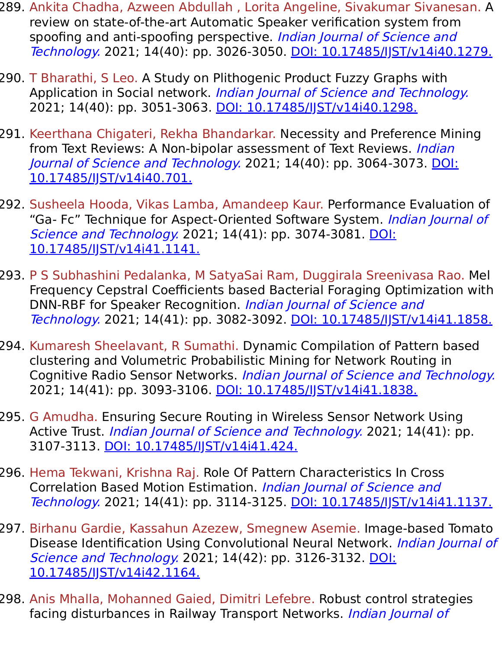- 289. Ankita Chadha, Azween Abdullah , Lorita Angeline, Sivakumar Sivanesan. A review on state-of-the-art Automatic Speaker verification system from spoofing and anti-spoofing perspective. Indian Journal of Science and Technology. 2021; 14(40): pp. 3026-3050. [DOI: 10.17485/IJST/v14i40.1279.](https://indjst.org/articles/a-review-on-state-of-the-art-automatic-speaker-verification-system-from-spoofing-and-anti-spoofing-perspective)
- 290. T Bharathi, S Leo. A Study on Plithogenic Product Fuzzy Graphs with Application in Social network. Indian Journal of Science and Technology. 2021; 14(40): pp. 3051-3063. [DOI: 10.17485/IJST/v14i40.1298.](https://indjst.org/articles/a-study-on-plithogenic-product-fuzzy-graphs-with-application-in-social-network)
- 291. Keerthana Chigateri, Rekha Bhandarkar. Necessity and Preference Mining from Text Reviews: A Non-bipolar assessment of Text Reviews. *Indian* Journal of Science and Technology. [2021; 14\(40\): pp. 3064-3073. DOI:](https://indjst.org/articles/necessity-and-preference-mining-from-text-reviews-a-non-bipolar-assessment-of-text-reviews) 10.17485/IJST/v14i40.701.
- 292. Susheela Hooda, Vikas Lamba, Amandeep Kaur. Performance Evaluation of "Ga- Fc" Technique for Aspect-Oriented Software System. Indian Journal of Science and Technology. [2021; 14\(41\): pp. 3074-3081. DOI:](https://indjst.org/articles/performance-evaluation-of-ga-fc-technique-for-aspect-oriented-software-system) 10.17485/IJST/v14i41.1141.
- 293. P S Subhashini Pedalanka, M SatyaSai Ram, Duggirala Sreenivasa Rao. Mel Frequency Cepstral Coefficients based Bacterial Foraging Optimization with DNN-RBF for Speaker Recognition. Indian Journal of Science and Technology. 2021; 14(41): pp. 3082-3092. [DOI: 10.17485/IJST/v14i41.1858.](https://indjst.org/articles/mel-frequency-cepstral-coefficients-based-bacterial-foraging-optimization-with-dnn-rbf-for-speaker-recognition)
- 294. Kumaresh Sheelavant, R Sumathi. Dynamic Compilation of Pattern based clustering and Volumetric Probabilistic Mining for Network Routing in Cognitive Radio Sensor Networks. Indian Journal of Science and Technology. 2021; 14(41): pp. 3093-3106. DOI: 10.17485/JJST/v14i41.1838.
- 295. G Amudha. Ensuring Secure Routing in Wireless Sensor Network Using Active Trust. *Indian Journal of Science and Technology*. 2021; 14(41): pp. 3107-3113. [DOI: 10.17485/IJST/v14i41.424.](https://indjst.org/articles/ensuring-secure-routing-in-wireless-sensor-network-using-active-trust)
- 296. Hema Tekwani, Krishna Raj. Role Of Pattern Characteristics In Cross Correlation Based Motion Estimation. Indian Journal of Science and Technology. 2021; 14(41): pp. 3114-3125. [DOI: 10.17485/IJST/v14i41.1137.](https://indjst.org/articles/role-of-pattern-characteristics-in-cross-correlation-based-motion-estimation)
- 297. Birhanu Gardie, Kassahun Azezew, Smegnew Asemie. Image-based Tomato Disease Identification Using Convolutional Neural Network. *Indian Journal of* Science and Technology. [2021; 14\(42\): pp. 3126-3132. DOI:](https://indjst.org/articles/image-based-tomato-disease-identification-using-convolutional-neural-network) 10.17485/IJST/v14i42.1164.
- 298. Anis Mhalla, Mohanned Gaied, Dimitri Lefebre. Robust control strategies facing disturbances in Railway Transport Networks. *Indian Journal of*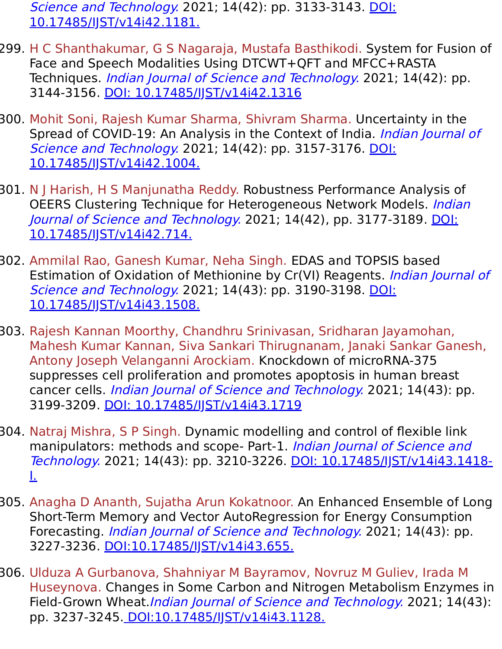Science and Technology. [2021; 14\(42\): pp. 3133-3143. DOI:](https://indjst.org/articles/robust-control-strategies-facing-disturbances-in-railway-transport-networks) 10.17485/IJST/v14i42.1181.

- 299. H C Shanthakumar, G S Nagaraja, Mustafa Basthikodi. System for Fusion of Face and Speech Modalities Using DTCWT+QFT and MFCC+RASTA Techniques. *Indian Journal of Science and Technology*. 2021; 14(42): pp. 3144-3156. [DOI: 10.17485/IJST/v14i42.1316](https://indjst.org/articles/system-for-fusion-of-face-and-speech-modalities-using-dtcwtqft-and-mfccrasta-techniques)
- 300. Mohit Soni, Rajesh Kumar Sharma, Shivram Sharma. Uncertainty in the Spread of COVID-19: An Analysis in the Context of India. Indian Journal of Science and Technology. [2021; 14\(42\): pp. 3157-3176. DOI:](https://indjst.org/articles/uncertainty-in-the-spread-of-covid-19-an-analysis-in-the-context-of-india) 10.17485/IJST/v14i42.1004.
- 301. N J Harish, H S Manjunatha Reddy. Robustness Performance Analysis of OEERS Clustering Technique for Heterogeneous Network Models. *Indian* Journal of Science and Technology. [2021; 14\(42\), pp. 3177-3189. DOI:](https://indjst.org/articles/robustness-performance-analysis-of-oeers-clustering-technique-for-heterogeneous-network-models) 10.17485/IJST/v14i42.714.
- 302. Ammilal Rao, Ganesh Kumar, Neha Singh. EDAS and TOPSIS based Estimation of Oxidation of Methionine by Cr(VI) Reagents. *Indian Journal of* Science and Technology. [2021; 14\(43\): pp. 3190-3198. DOI:](https://indjst.org/articles/edas-and-topsis-based-estimation-of-oxidation-of-methionine-by-crvi-reagents) 10.17485/IJST/v14i43.1508.
- 303. Rajesh Kannan Moorthy, Chandhru Srinivasan, Sridharan Jayamohan, Mahesh Kumar Kannan, Siva Sankari Thirugnanam, Janaki Sankar Ganesh, Antony Joseph Velanganni Arockiam. Knockdown of microRNA-375 suppresses cell proliferation and promotes apoptosis in human breast cancer cells. *Indian Journal of Science and Technology*. 2021; 14(43): pp. 3199-3209. [DOI: 10.17485/IJST/v14i43.1719](https://indjst.org/articles/knockdown-of-microrna-375-suppresses-cell-proliferation-and-promotes-apoptosis-in-human-breast-cancer-cells)
- 304. Natraj Mishra, S P Singh. Dynamic modelling and control of flexible link manipulators: methods and scope- Part-1. Indian Journal of Science and Technology. [2021; 14\(43\): pp. 3210-3226. DOI: 10.17485/IJST/v14i43.1418-](https://indjst.org/articles/dynamic-modelling-and-control-of-flexible-link-manipulators-methods-and-scope-part-1) I.
- 305. Anagha D Ananth, Sujatha Arun Kokatnoor. An Enhanced Ensemble of Long Short-Term Memory and Vector AutoRegression for Energy Consumption Forecasting. *Indian Journal of Science and Technology*. 2021; 14(43): pp. 3227-3236. [DOI:10.17485/IJST/v14i43.655.](https://indjst.org/articles/an-enhanced-ensemble-of-long-short-term-memory-and-vector-autoregression-for-energy-consumption-forecasting)
- 306. Ulduza A Gurbanova, Shahniyar M Bayramov, Novruz M Guliev, Irada M Huseynova. Changes in Some Carbon and Nitrogen Metabolism Enzymes in Field-Grown Wheat.Indian Journal of Science and Technology. 2021; 14(43): pp. 3237-3245[. DOI:10.17485/IJST/v14i43.1128.](https://indjst.org/articles/changes-in-some-carbon-and-nitrogen-metabolism-enzymes-in-field-grown-wheat)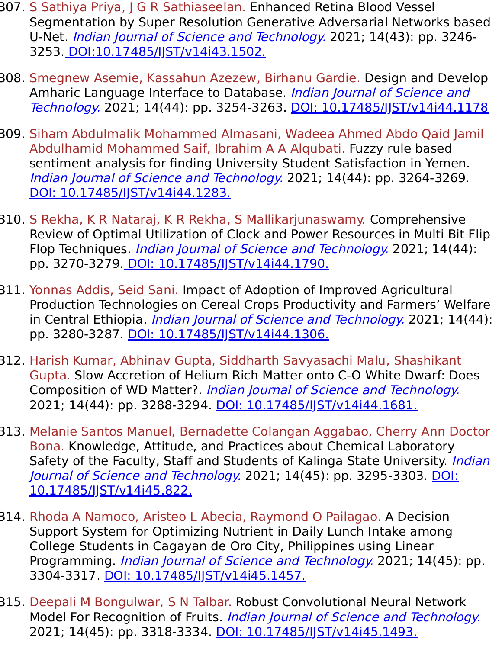- 307. S Sathiya Priya, J G R Sathiaseelan. Enhanced Retina Blood Vessel Segmentation by Super Resolution Generative Adversarial Networks based U-Net. Indian Journal of Science and Technology. 2021; 14(43): pp. 3246- 3253. [DOI:10.17485/IJST/v14i43.1502.](https://indjst.org/articles/enhanced-retina-blood-vessel-segmentation-by-super-resolution-generative-adversarial-networks-based-u-net)
- 308. Smegnew Asemie, Kassahun Azezew, Birhanu Gardie. Design and Develop Amharic Language Interface to Database. Indian Journal of Science and Technology. 2021; 14(44): pp. 3254-3263. [DOI: 10.17485/IJST/v14i44.1178](https://indjst.org/articles/design-and-develop-amharic-language-interface-to-database)
- 309. Siham Abdulmalik Mohammed Almasani, Wadeea Ahmed Abdo Qaid Jamil Abdulhamid Mohammed Saif, Ibrahim A A Alqubati. Fuzzy rule based sentiment analysis for finding University Student Satisfaction in Yemen. Indian Journal of Science and Technology. 2021; 14(44): pp. 3264-3269. [DOI: 10.17485/IJST/v14i44.1283.](https://indjst.org/articles/fuzzy-rule-based-sentiment-analysis-for-finding-university-student-satisfaction-in-yemen)
- 310. S Rekha, K R Nataraj, K R Rekha, S Mallikarjunaswamy. Comprehensive Review of Optimal Utilization of Clock and Power Resources in Multi Bit Flip Flop Techniques. Indian Journal of Science and Technology. 2021; 14(44): pp. 3270-3279[. DOI: 10.17485/IJST/v14i44.1790.](https://indjst.org/articles/comprehensive-review-of-optimal-utilization-of-clock-and-power-resources-in-multi-bit-flip-flop-techniques)
- 311. Yonnas Addis, Seid Sani. Impact of Adoption of Improved Agricultural Production Technologies on Cereal Crops Productivity and Farmers' Welfare in Central Ethiopia. *Indian Journal of Science and Technology*. 2021; 14(44): pp. 3280-3287. DOI: 10.17485/JJST/v14i44.1306.
- 312. Harish Kumar, Abhinav Gupta, Siddharth Savyasachi Malu, Shashikant Gupta. Slow Accretion of Helium Rich Matter onto C-O White Dwarf: Does Composition of WD Matter?. Indian Journal of Science and Technology. 2021; 14(44): pp. 3288-3294. [DOI: 10.17485/IJST/v14i44.1681.](https://indjst.org/articles/slow-accretion-of-helium-rich-matter-onto-c-o-white-dwarf-does-composition-of-wd-matter)
- 313. Melanie Santos Manuel, Bernadette Colangan Aggabao, Cherry Ann Doctor Bona. Knowledge, Attitude, and Practices about Chemical Laboratory Safety of the Faculty, Staff and Students of Kalinga State University. *Indian* Journal of Science and Technology. [2021; 14\(45\): pp. 3295-3303. DOI:](https://indjst.org/articles/knowledge-attitude-and-practices-about-chemical-laboratory-safety-of-the-faculty-staff-and-students-of-kalinga-state-university) 10.17485/IJST/v14i45.822.
- 314. Rhoda A Namoco, Aristeo L Abecia, Raymond O Pailagao. A Decision Support System for Optimizing Nutrient in Daily Lunch Intake among College Students in Cagayan de Oro City, Philippines using Linear Programming. *Indian Journal of Science and Technology.* 2021; 14(45): pp. 3304-3317. [DOI: 10.17485/IJST/v14i45.1457.](https://indjst.org/articles/a-decision-support-system-for-optimizing-nutrient-in-daily-lunch-intake-among-college-students-in-cagayan-de-oro-city-philippines-using-linear-programming)
- 315. Deepali M Bongulwar, S N Talbar. Robust Convolutional Neural Network Model For Recognition of Fruits. Indian Journal of Science and Technology. 2021; 14(45): pp. 3318-3334. DOI: 10.17485/JST/v14i45.1493.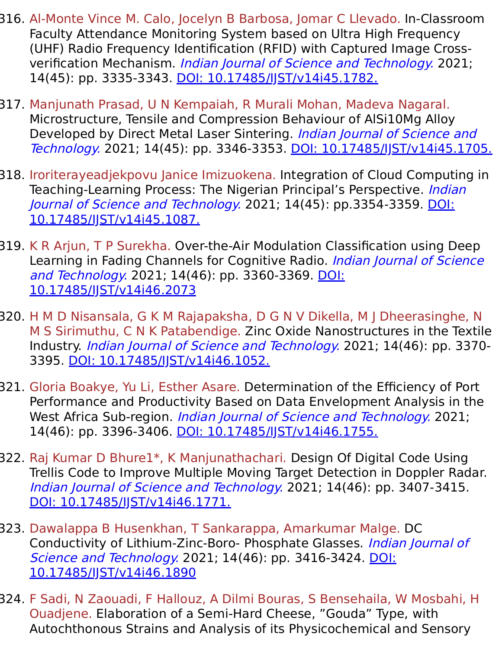- 316. Al-Monte Vince M. Calo, Jocelyn B Barbosa, Jomar C Llevado. In-Classroom Faculty Attendance Monitoring System based on Ultra High Frequency (UHF) Radio Frequency Identification (RFID) with Captured Image Crossverification Mechanism. Indian Journal of Science and Technology. 2021; 14(45): pp. 3335-3343. DOI: 10.17485/IST/v14i45.1782.
- 317. Manjunath Prasad, U N Kempaiah, R Murali Mohan, Madeva Nagaral. Microstructure, Tensile and Compression Behaviour of AlSi10Mg Alloy Developed by Direct Metal Laser Sintering. Indian Journal of Science and Technology. 2021; 14(45): pp. 3346-3353. [DOI: 10.17485/IJST/v14i45.1705.](https://indjst.org/articles/microstructure-tensile-and-compression-behaviour-of-alsi10mg-alloy-developed-by-direct-metal-laser-sintering)
- 318. Iroriterayeadjekpovu Janice Imizuokena. Integration of Cloud Computing in Teaching-Learning Process: The Nigerian Principal's Perspective. *Indian* Journal of Science and Technology. [2021; 14\(45\): pp.3354-3359. DOI:](https://indjst.org/articles/integration-of-cloud-computing-in-teaching-learning-process-the-nigerian-principals-perspective) 10.17485/IJST/v14i45.1087.
- 319. K R Arjun, T P Surekha. Over-the-Air Modulation Classification using Deep Learning in Fading Channels for Cognitive Radio. Indian Journal of Science and Technology. [2021; 14\(46\): pp. 3360-3369. DOI:](https://indjst.org/articles/over-the-air-modulation-classification-using-deep-learning-in-fading-channels-for-cognitive-radio) 10.17485/IJST/v14i46.2073
- 320. H M D Nisansala, G K M Rajapaksha, D G N V Dikella, M J Dheerasinghe, N M S Sirimuthu, C N K Patabendige. Zinc Oxide Nanostructures in the Textile Industry. Indian Journal of Science and Technology. 2021; 14(46): pp. 3370- 3395. [DOI: 10.17485/IJST/v14i46.1052.](https://indjst.org/articles/zinc-oxide-nanostructures-in-the-textile-industry)
- 321. Gloria Boakye, Yu Li, Esther Asare. Determination of the Efficiency of Port Performance and Productivity Based on Data Envelopment Analysis in the West Africa Sub-region. Indian Journal of Science and Technology. 2021; 14(46): pp. 3396-3406. DOI: 10.17485/IST/v14i46.1755.
- 322. Raj Kumar D Bhure1\*, K Manjunathachari. Design Of Digital Code Using Trellis Code to Improve Multiple Moving Target Detection in Doppler Radar. Indian Journal of Science and Technology. 2021; 14(46): pp. 3407-3415. DOI: 10.17485/IST/v14i46.1771.
- 323. Dawalappa B Husenkhan, T Sankarappa, Amarkumar Malge. DC Conductivity of Lithium-Zinc-Boro- Phosphate Glasses. Indian Journal of Science and Technology. [2021; 14\(46\): pp. 3416-3424. DOI:](https://indjst.org/articles/dc-conductivity-of-lithium-zinc-boro-phosphate-glasses) 10.17485/IJST/v14i46.1890
- 324. F Sadi, N Zaouadi, F Hallouz, A Dilmi Bouras, S Bensehaila, W Mosbahi, H Ouadjene. Elaboration of a Semi-Hard Cheese, "Gouda" Type, with Autochthonous Strains and Analysis of its Physicochemical and Sensory